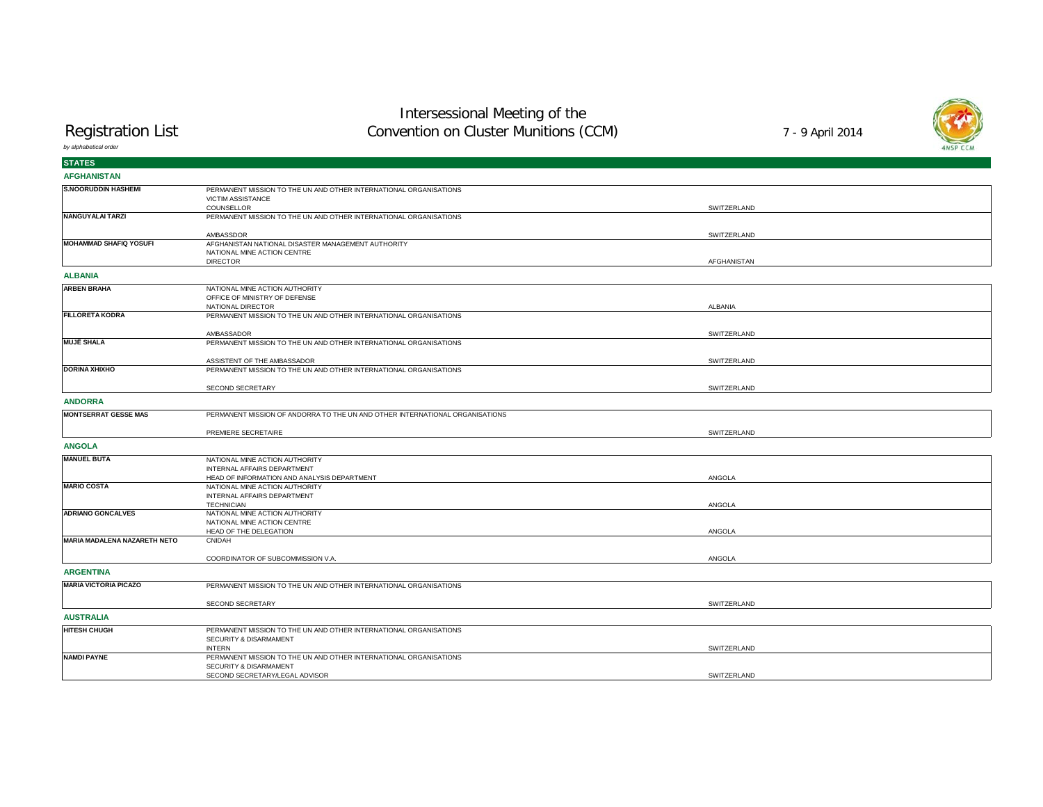# Intersessional Meeting of the Convention on Cluster Munitions (CCM)

Registration List

*by alphabetical order*

| <b>STATES</b>                       |                                                                                    |             |  |
|-------------------------------------|------------------------------------------------------------------------------------|-------------|--|
| <b>AFGHANISTAN</b>                  |                                                                                    |             |  |
| <b>S.NOORUDDIN HASHEMI</b>          | PERMANENT MISSION TO THE UN AND OTHER INTERNATIONAL ORGANISATIONS                  |             |  |
|                                     | VICTIM ASSISTANCE                                                                  |             |  |
| NANGUYALAI TARZI                    | COUNSELLOR<br>PERMANENT MISSION TO THE UN AND OTHER INTERNATIONAL ORGANISATIONS    | SWITZERLAND |  |
|                                     |                                                                                    |             |  |
|                                     | AMBASSDOR                                                                          | SWITZERLAND |  |
| <b>MOHAMMAD SHAFIQ YOSUFI</b>       | AFGHANISTAN NATIONAL DISASTER MANAGEMENT AUTHORITY                                 |             |  |
|                                     | NATIONAL MINE ACTION CENTRE<br><b>DIRECTOR</b>                                     | AFGHANISTAN |  |
| <b>ALBANIA</b>                      |                                                                                    |             |  |
| <b>ARBEN BRAHA</b>                  | NATIONAL MINE ACTION AUTHORITY                                                     |             |  |
|                                     | OFFICE OF MINISTRY OF DEFENSE                                                      |             |  |
|                                     | NATIONAL DIRECTOR                                                                  | ALBANIA     |  |
| <b>FILLORETA KODRA</b>              | PERMANENT MISSION TO THE UN AND OTHER INTERNATIONAL ORGANISATIONS                  |             |  |
|                                     | AMBASSADOR                                                                         | SWITZERLAND |  |
| <b>MUJË SHALA</b>                   | PERMANENT MISSION TO THE UN AND OTHER INTERNATIONAL ORGANISATIONS                  |             |  |
|                                     | ASSISTENT OF THE AMBASSADOR                                                        | SWITZERLAND |  |
| <b>DORINA XHIXHO</b>                | PERMANENT MISSION TO THE UN AND OTHER INTERNATIONAL ORGANISATIONS                  |             |  |
|                                     |                                                                                    |             |  |
|                                     | SECOND SECRETARY                                                                   | SWITZERLAND |  |
| <b>ANDORRA</b>                      |                                                                                    |             |  |
| <b>MONTSERRAT GESSE MAS</b>         | PERMANENT MISSION OF ANDORRA TO THE UN AND OTHER INTERNATIONAL ORGANISATIONS       |             |  |
|                                     | PREMIERE SECRETAIRE                                                                | SWITZERLAND |  |
| <b>ANGOLA</b>                       |                                                                                    |             |  |
| <b>MANUEL BUTA</b>                  | NATIONAL MINE ACTION AUTHORITY                                                     |             |  |
|                                     | INTERNAL AFFAIRS DEPARTMENT                                                        |             |  |
| <b>MARIO COSTA</b>                  | HEAD OF INFORMATION AND ANALYSIS DEPARTMENT<br>NATIONAL MINE ACTION AUTHORITY      | ANGOLA      |  |
|                                     | INTERNAL AFFAIRS DEPARTMENT                                                        |             |  |
|                                     | <b>TECHNICIAN</b>                                                                  | ANGOLA      |  |
| <b>ADRIANO GONCALVES</b>            | NATIONAL MINE ACTION AUTHORITY                                                     |             |  |
|                                     | NATIONAL MINE ACTION CENTRE<br>HEAD OF THE DELEGATION                              | ANGOLA      |  |
| <b>MARIA MADALENA NAZARETH NETO</b> | CNIDAH                                                                             |             |  |
|                                     |                                                                                    |             |  |
|                                     | COORDINATOR OF SUBCOMMISSION V.A.                                                  | ANGOLA      |  |
| <b>ARGENTINA</b>                    |                                                                                    |             |  |
| <b>MARIA VICTORIA PICAZO</b>        | PERMANENT MISSION TO THE UN AND OTHER INTERNATIONAL ORGANISATIONS                  |             |  |
|                                     | SECOND SECRETARY                                                                   | SWITZERLAND |  |
| <b>AUSTRALIA</b>                    |                                                                                    |             |  |
| <b>HITESH CHUGH</b>                 | PERMANENT MISSION TO THE UN AND OTHER INTERNATIONAL ORGANISATIONS                  |             |  |
|                                     | SECURITY & DISARMAMENT                                                             |             |  |
| <b>NAMDI PAYNE</b>                  | <b>INTERN</b><br>PERMANENT MISSION TO THE UN AND OTHER INTERNATIONAL ORGANISATIONS | SWITZERLAND |  |
|                                     | SECURITY & DISARMAMENT                                                             |             |  |
|                                     | SECOND SECRETARY/LEGAL ADVISOR                                                     | SWITZERLAND |  |

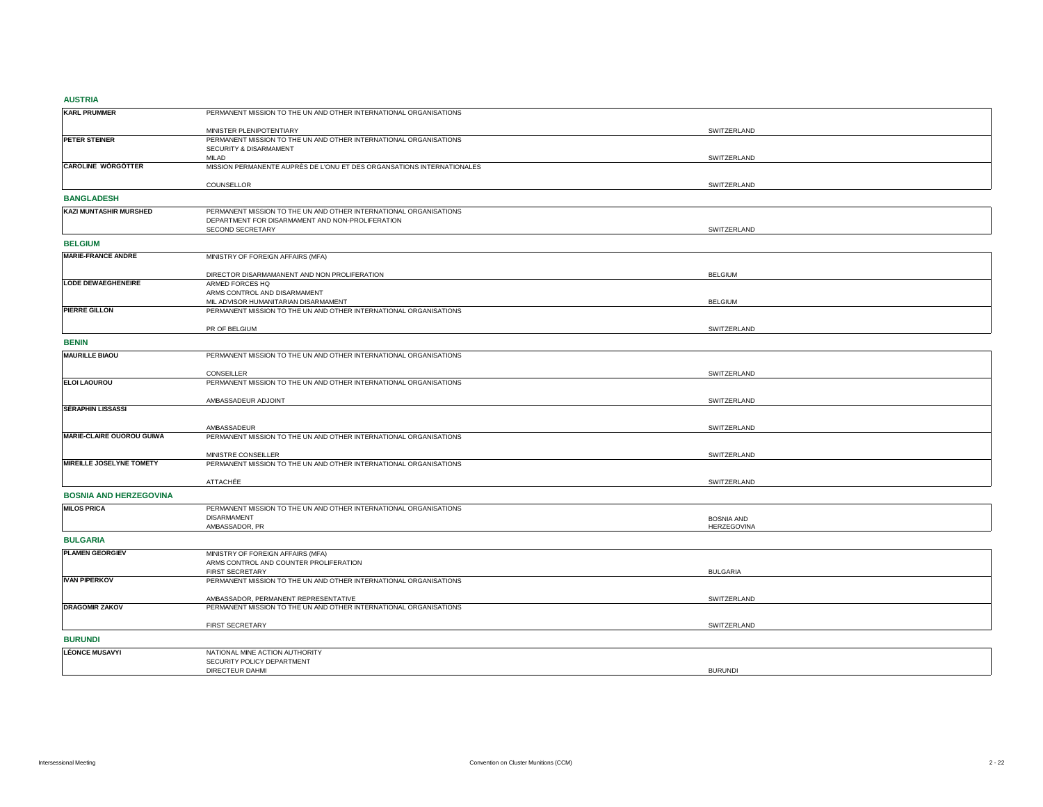## **AUSTRIA**

| ------                        |                                                                                 |                    |
|-------------------------------|---------------------------------------------------------------------------------|--------------------|
| <b>KARL PRUMMER</b>           | PERMANENT MISSION TO THE UN AND OTHER INTERNATIONAL ORGANISATIONS               |                    |
|                               | MINISTER PLENIPOTENTIARY                                                        | SWITZERLAND        |
| PETER STEINER                 | PERMANENT MISSION TO THE UN AND OTHER INTERNATIONAL ORGANISATIONS               |                    |
|                               | SECURITY & DISARMAMENT                                                          |                    |
| <b>CAROLINE WÖRGÖTTER</b>     | MILAD<br>MISSION PERMANENTE AUPRÈS DE L'ONU ET DES ORGANSATIONS INTERNATIONALES | SWITZERLAND        |
|                               |                                                                                 |                    |
|                               | COUNSELLOR                                                                      | SWITZERLAND        |
| <b>BANGLADESH</b>             |                                                                                 |                    |
| <b>KAZI MUNTASHIR MURSHED</b> | PERMANENT MISSION TO THE UN AND OTHER INTERNATIONAL ORGANISATIONS               |                    |
|                               | DEPARTMENT FOR DISARMAMENT AND NON-PROLIFERATION                                |                    |
|                               | SECOND SECRETARY                                                                | SWITZERLAND        |
| <b>BELGIUM</b>                |                                                                                 |                    |
| <b>MARIE-FRANCE ANDRE</b>     | MINISTRY OF FOREIGN AFFAIRS (MFA)                                               |                    |
|                               | DIRECTOR DISARMAMANENT AND NON PROLIFERATION                                    | <b>BELGIUM</b>     |
| <b>LODE DEWAEGHENEIRE</b>     | ARMED FORCES HQ                                                                 |                    |
|                               | ARMS CONTROL AND DISARMAMENT                                                    |                    |
|                               | MIL ADVISOR HUMANITARIAN DISARMAMENT                                            | <b>BELGIUM</b>     |
| <b>PIERRE GILLON</b>          | PERMANENT MISSION TO THE UN AND OTHER INTERNATIONAL ORGANISATIONS               |                    |
|                               | PR OF BELGIUM                                                                   | SWITZERLAND        |
| <b>BENIN</b>                  |                                                                                 |                    |
| <b>MAURILLE BIAOU</b>         | PERMANENT MISSION TO THE UN AND OTHER INTERNATIONAL ORGANISATIONS               |                    |
|                               |                                                                                 |                    |
|                               | CONSEILLER                                                                      | SWITZERLAND        |
| <b>ELOI LAOUROU</b>           | PERMANENT MISSION TO THE UN AND OTHER INTERNATIONAL ORGANISATIONS               |                    |
|                               | AMBASSADEUR ADJOINT                                                             | SWITZERLAND        |
| <b>SÉRAPHIN LISSASSI</b>      |                                                                                 |                    |
|                               | AMBASSADEUR                                                                     |                    |
| MARIE-CLAIRE OUOROU GUIWA     | PERMANENT MISSION TO THE UN AND OTHER INTERNATIONAL ORGANISATIONS               | SWITZERLAND        |
|                               |                                                                                 |                    |
|                               | MINISTRE CONSEILLER                                                             | SWITZERLAND        |
| MIREILLE JOSELYNE TOMETY      | PERMANENT MISSION TO THE UN AND OTHER INTERNATIONAL ORGANISATIONS               |                    |
|                               | <b>ATTACHÉE</b>                                                                 | SWITZERLAND        |
| <b>BOSNIA AND HERZEGOVINA</b> |                                                                                 |                    |
| <b>MILOS PRICA</b>            | PERMANENT MISSION TO THE UN AND OTHER INTERNATIONAL ORGANISATIONS               |                    |
|                               | <b>DISARMAMENT</b>                                                              | <b>BOSNIA AND</b>  |
|                               | AMBASSADOR, PR                                                                  | <b>HERZEGOVINA</b> |
| <b>BULGARIA</b>               |                                                                                 |                    |
| <b>PLAMEN GEORGIEV</b>        | MINISTRY OF FOREIGN AFFAIRS (MFA)                                               |                    |
|                               | ARMS CONTROL AND COUNTER PROLIFERATION                                          |                    |
|                               | FIRST SECRETARY                                                                 | <b>BULGARIA</b>    |
| <b>IVAN PIPERKOV</b>          | PERMANENT MISSION TO THE UN AND OTHER INTERNATIONAL ORGANISATIONS               |                    |
|                               | AMBASSADOR, PERMANENT REPRESENTATIVE                                            | SWITZERLAND        |
| <b>DRAGOMIR ZAKOV</b>         | PERMANENT MISSION TO THE UN AND OTHER INTERNATIONAL ORGANISATIONS               |                    |
|                               | FIRST SECRETARY                                                                 | SWITZERLAND        |
| <b>BURUNDI</b>                |                                                                                 |                    |
| <b>LÉONCE MUSAVYI</b>         |                                                                                 |                    |
|                               | NATIONAL MINE ACTION AUTHORITY<br>SECURITY POLICY DEPARTMENT                    |                    |
|                               | DIRECTEUR DAHMI                                                                 | <b>BURUNDI</b>     |
|                               |                                                                                 |                    |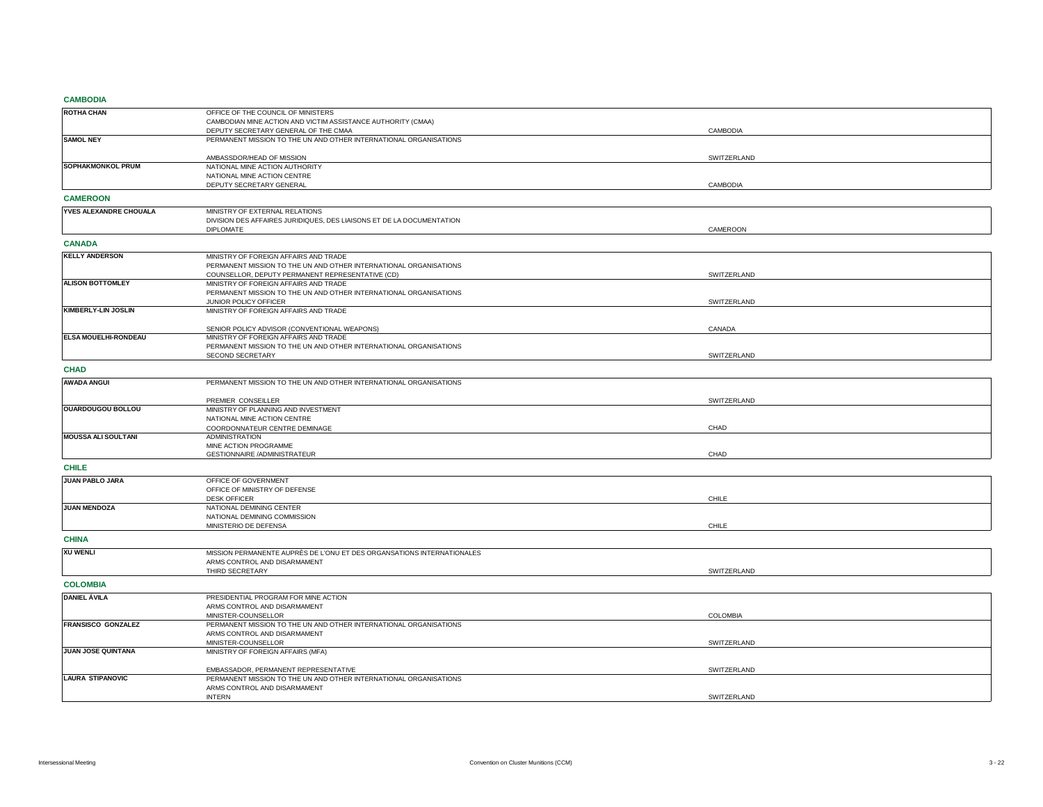## **CAMBODIA**

| <b><i><u>CAMBODIA</u></i></b> |                                                                                                           |             |  |
|-------------------------------|-----------------------------------------------------------------------------------------------------------|-------------|--|
| <b>ROTHA CHAN</b>             | OFFICE OF THE COUNCIL OF MINISTERS                                                                        |             |  |
|                               | CAMBODIAN MINE ACTION AND VICTIM ASSISTANCE AUTHORITY (CMAA)                                              |             |  |
|                               | DEPUTY SECRETARY GENERAL OF THE CMAA                                                                      | CAMBODIA    |  |
| <b>SAMOL NEY</b>              | PERMANENT MISSION TO THE UN AND OTHER INTERNATIONAL ORGANISATIONS                                         |             |  |
|                               | AMBASSDOR/HEAD OF MISSION                                                                                 | SWITZERLAND |  |
| SOPHAKMONKOL PRUM             | NATIONAL MINE ACTION AUTHORITY                                                                            |             |  |
|                               | NATIONAL MINE ACTION CENTRE                                                                               |             |  |
|                               | DEPUTY SECRETARY GENERAL                                                                                  | CAMBODIA    |  |
| <b>CAMEROON</b>               |                                                                                                           |             |  |
|                               |                                                                                                           |             |  |
| YVES ALEXANDRE CHOUALA        | MINISTRY OF EXTERNAL RELATIONS                                                                            |             |  |
|                               | DIVISION DES AFFAIRES JURIDIQUES, DES LIAISONS ET DE LA DOCUMENTATION<br><b>DIPLOMATE</b>                 | CAMEROON    |  |
|                               |                                                                                                           |             |  |
| <b>CANADA</b>                 |                                                                                                           |             |  |
| <b>KELLY ANDERSON</b>         | MINISTRY OF FOREIGN AFFAIRS AND TRADE                                                                     |             |  |
|                               | PERMANENT MISSION TO THE UN AND OTHER INTERNATIONAL ORGANISATIONS                                         |             |  |
|                               | COUNSELLOR, DEPUTY PERMANENT REPRESENTATIVE (CD)                                                          | SWITZERLAND |  |
| <b>ALISON BOTTOMLEY</b>       | MINISTRY OF FOREIGN AFFAIRS AND TRADE                                                                     |             |  |
|                               | PERMANENT MISSION TO THE UN AND OTHER INTERNATIONAL ORGANISATIONS<br>JUNIOR POLICY OFFICER                | SWITZERLAND |  |
| KIMBERLY-LIN JOSLIN           | MINISTRY OF FOREIGN AFFAIRS AND TRADE                                                                     |             |  |
|                               |                                                                                                           |             |  |
|                               | SENIOR POLICY ADVISOR (CONVENTIONAL WEAPONS)                                                              | CANADA      |  |
| ELSA MOUELHI-RONDEAU          | MINISTRY OF FOREIGN AFFAIRS AND TRADE                                                                     |             |  |
|                               | PERMANENT MISSION TO THE UN AND OTHER INTERNATIONAL ORGANISATIONS                                         |             |  |
|                               | SECOND SECRETARY                                                                                          | SWITZERLAND |  |
| <b>CHAD</b>                   |                                                                                                           |             |  |
| <b>AWADA ANGUI</b>            | PERMANENT MISSION TO THE UN AND OTHER INTERNATIONAL ORGANISATIONS                                         |             |  |
|                               |                                                                                                           |             |  |
|                               | PREMIER CONSEILLER                                                                                        | SWITZERLAND |  |
| <b>OUARDOUGOU BOLLOU</b>      | MINISTRY OF PLANNING AND INVESTMENT                                                                       |             |  |
|                               | NATIONAL MINE ACTION CENTRE                                                                               |             |  |
| <b>MOUSSA ALI SOULTANI</b>    | COORDONNATEUR CENTRE DEMINAGE<br><b>ADMINISTRATION</b>                                                    | CHAD        |  |
|                               | MINE ACTION PROGRAMME                                                                                     |             |  |
|                               | GESTIONNAIRE / ADMINISTRATEUR                                                                             | CHAD        |  |
| <b>CHILE</b>                  |                                                                                                           |             |  |
| JUAN PABLO JARA               | OFFICE OF GOVERNMENT                                                                                      |             |  |
|                               | OFFICE OF MINISTRY OF DEFENSE                                                                             |             |  |
|                               | <b>DESK OFFICER</b>                                                                                       | CHILE       |  |
| <b>JUAN MENDOZA</b>           | NATIONAL DEMINING CENTER                                                                                  |             |  |
|                               | NATIONAL DEMINING COMMISSION                                                                              |             |  |
|                               | MINISTERIO DE DEFENSA                                                                                     | CHILE       |  |
| <b>CHINA</b>                  |                                                                                                           |             |  |
| <b>XU WENLI</b>               | MISSION PERMANENTE AUPRÈS DE L'ONU ET DES ORGANSATIONS INTERNATIONALES                                    |             |  |
|                               | ARMS CONTROL AND DISARMAMENT                                                                              |             |  |
|                               | THIRD SECRETARY                                                                                           | SWITZERLAND |  |
| <b>COLOMBIA</b>               |                                                                                                           |             |  |
| <b>DANIEL ÁVILA</b>           |                                                                                                           |             |  |
|                               | PRESIDENTIAL PROGRAM FOR MINE ACTION<br>ARMS CONTROL AND DISARMAMENT                                      |             |  |
|                               | MINISTER-COUNSELLOR                                                                                       | COLOMBIA    |  |
| FRANSISCO GONZALEZ            | PERMANENT MISSION TO THE UN AND OTHER INTERNATIONAL ORGANISATIONS                                         |             |  |
|                               | ARMS CONTROL AND DISARMAMENT                                                                              |             |  |
|                               | MINISTER-COUNSELLOR                                                                                       | SWITZERLAND |  |
| JUAN JOSE QUINTANA            | MINISTRY OF FOREIGN AFFAIRS (MFA)                                                                         |             |  |
|                               |                                                                                                           |             |  |
| <b>LAURA STIPANOVIC</b>       | EMBASSADOR, PERMANENT REPRESENTATIVE<br>PERMANENT MISSION TO THE UN AND OTHER INTERNATIONAL ORGANISATIONS | SWITZERLAND |  |
|                               | ARMS CONTROL AND DISARMAMENT                                                                              |             |  |
|                               | <b>INTERN</b>                                                                                             | SWITZERLAND |  |
|                               |                                                                                                           |             |  |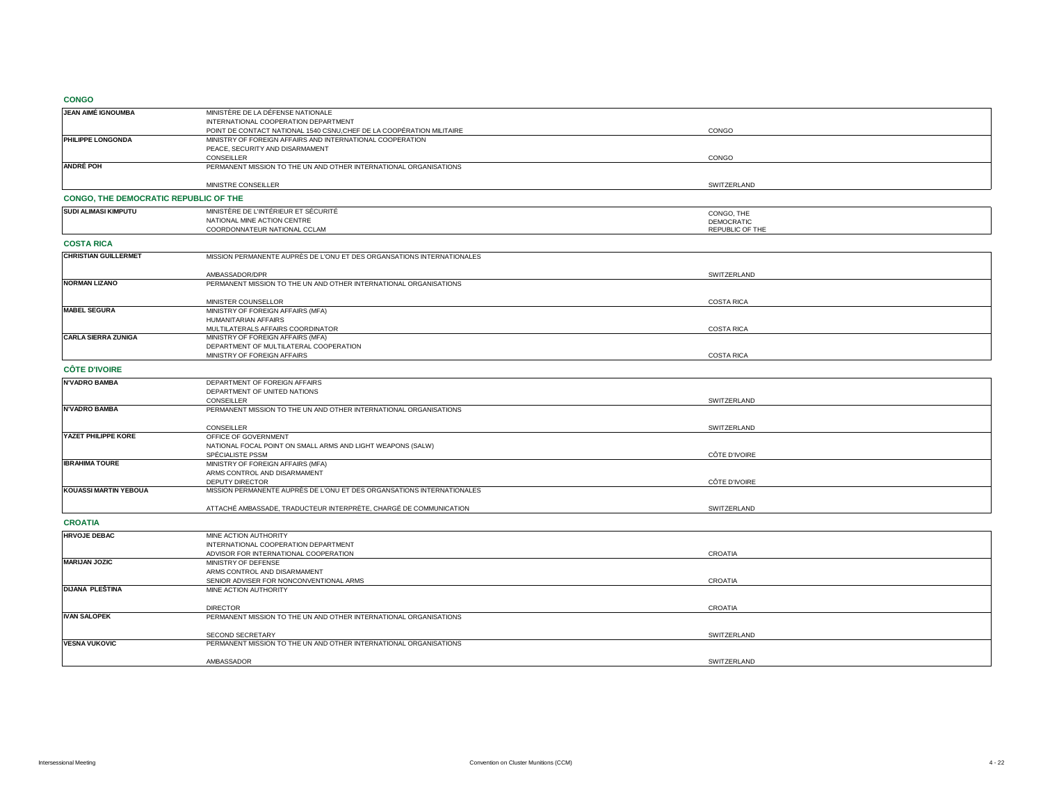**CONGO**

| -----                                 |                                                                                 |                   |
|---------------------------------------|---------------------------------------------------------------------------------|-------------------|
| JEAN AIMÉ IGNOUMBA                    | MINISTÈRE DE LA DÉFENSE NATIONALE                                               |                   |
|                                       | INTERNATIONAL COOPERATION DEPARTMENT                                            |                   |
|                                       | POINT DE CONTACT NATIONAL 1540 CSNU, CHEF DE LA COOPÉRATION MILITAIRE           | CONGO             |
| PHILIPPE LONGONDA                     | MINISTRY OF FOREIGN AFFAIRS AND INTERNATIONAL COOPERATION                       |                   |
|                                       | PEACE, SECURITY AND DISARMAMENT                                                 |                   |
| <b>ANDRÉ POH</b>                      | CONSEILLER<br>PERMANENT MISSION TO THE UN AND OTHER INTERNATIONAL ORGANISATIONS | CONGO             |
|                                       |                                                                                 |                   |
|                                       | MINISTRE CONSEILLER                                                             | SWITZERLAND       |
|                                       |                                                                                 |                   |
| CONGO, THE DEMOCRATIC REPUBLIC OF THE |                                                                                 |                   |
| <b>SUDI ALIMASI KIMPUTU</b>           | MINISTÈRE DE L'INTÉRIEUR ET SÉCURITÉ                                            | CONGO, THE        |
|                                       | NATIONAL MINE ACTION CENTRE                                                     | <b>DEMOCRATIC</b> |
|                                       | COORDONNATEUR NATIONAL CCLAM                                                    | REPUBLIC OF THE   |
| <b>COSTA RICA</b>                     |                                                                                 |                   |
| <b>CHRISTIAN GUILLERMET</b>           | MISSION PERMANENTE AUPRÈS DE L'ONU ET DES ORGANSATIONS INTERNATIONALES          |                   |
|                                       |                                                                                 |                   |
|                                       | AMBASSADOR/DPR                                                                  | SWITZERLAND       |
| <b>NORMAN LIZANO</b>                  | PERMANENT MISSION TO THE UN AND OTHER INTERNATIONAL ORGANISATIONS               |                   |
|                                       |                                                                                 |                   |
| <b>MABEL SEGURA</b>                   | MINISTER COUNSELLOR<br>MINISTRY OF FOREIGN AFFAIRS (MFA)                        | <b>COSTA RICA</b> |
|                                       | HUMANITARIAN AFFAIRS                                                            |                   |
|                                       | MULTILATERALS AFFAIRS COORDINATOR                                               | <b>COSTA RICA</b> |
| <b>CARLA SIERRA ZUNIGA</b>            | MINISTRY OF FOREIGN AFFAIRS (MFA)                                               |                   |
|                                       | DEPARTMENT OF MULTILATERAL COOPERATION                                          |                   |
|                                       | MINISTRY OF FOREIGN AFFAIRS                                                     | <b>COSTA RICA</b> |
| <b>CÔTE D'IVOIRE</b>                  |                                                                                 |                   |
| <b>N'VADRO BAMBA</b>                  | DEPARTMENT OF FOREIGN AFFAIRS                                                   |                   |
|                                       | DEPARTMENT OF UNITED NATIONS                                                    |                   |
|                                       | CONSEILLER                                                                      | SWITZERLAND       |
| <b>N'VADRO BAMBA</b>                  | PERMANENT MISSION TO THE UN AND OTHER INTERNATIONAL ORGANISATIONS               |                   |
|                                       |                                                                                 |                   |
| YAZET PHILIPPE KORE                   | CONSEILLER<br>OFFICE OF GOVERNMENT                                              | SWITZERLAND       |
|                                       | NATIONAL FOCAL POINT ON SMALL ARMS AND LIGHT WEAPONS (SALW)                     |                   |
|                                       | SPÉCIALISTE PSSM                                                                | CÔTE D'IVOIRE     |
| <b>IBRAHIMA TOURE</b>                 | MINISTRY OF FOREIGN AFFAIRS (MFA)                                               |                   |
|                                       | ARMS CONTROL AND DISARMAMENT                                                    |                   |
|                                       | <b>DEPUTY DIRECTOR</b>                                                          | CÔTE D'IVOIRE     |
| KOUASSI MARTIN YEBOUA                 | MISSION PERMANENTE AUPRÈS DE L'ONU ET DES ORGANSATIONS INTERNATIONALES          |                   |
|                                       | ATTACHÉ AMBASSADE, TRADUCTEUR INTERPRÈTE, CHARGÉ DE COMMUNICATION               | SWITZERLAND       |
|                                       |                                                                                 |                   |
| <b>CROATIA</b>                        |                                                                                 |                   |
| <b>HRVOJE DEBAC</b>                   | MINE ACTION AUTHORITY                                                           |                   |
|                                       | INTERNATIONAL COOPERATION DEPARTMENT                                            |                   |
|                                       | ADVISOR FOR INTERNATIONAL COOPERATION                                           | CROATIA           |
| <b>MARIJAN JOZIC</b>                  | MINISTRY OF DEFENSE                                                             |                   |
|                                       | ARMS CONTROL AND DISARMAMENT                                                    |                   |
| DIJANA PLEŠTINA                       | SENIOR ADVISER FOR NONCONVENTIONAL ARMS<br>MINE ACTION AUTHORITY                | CROATIA           |
|                                       |                                                                                 |                   |
|                                       | <b>DIRECTOR</b>                                                                 | CROATIA           |
| <b>IVAN SALOPEK</b>                   | PERMANENT MISSION TO THE UN AND OTHER INTERNATIONAL ORGANISATIONS               |                   |
|                                       |                                                                                 |                   |
|                                       | SECOND SECRETARY                                                                | SWITZERLAND       |
| <b>VESNA VUKOVIC</b>                  | PERMANENT MISSION TO THE UN AND OTHER INTERNATIONAL ORGANISATIONS               |                   |
|                                       |                                                                                 |                   |
|                                       | AMBASSADOR                                                                      | SWITZERLAND       |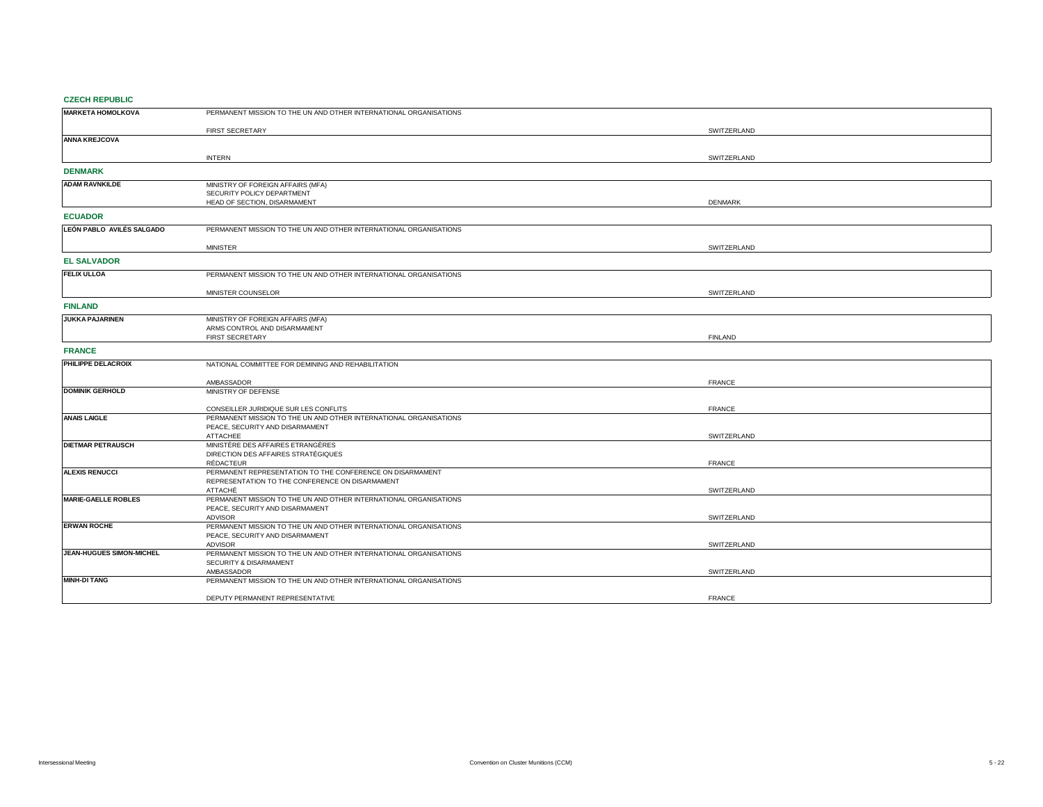## **CZECH REPUBLIC**

| <b>MARKETA HOMOLKOVA</b>   | PERMANENT MISSION TO THE UN AND OTHER INTERNATIONAL ORGANISATIONS                                          |                |
|----------------------------|------------------------------------------------------------------------------------------------------------|----------------|
|                            |                                                                                                            |                |
|                            | FIRST SECRETARY                                                                                            | SWITZERLAND    |
| <b>ANNA KREJCOVA</b>       |                                                                                                            |                |
|                            | <b>INTERN</b>                                                                                              |                |
|                            |                                                                                                            | SWITZERLAND    |
| <b>DENMARK</b>             |                                                                                                            |                |
| <b>ADAM RAVNKILDE</b>      | MINISTRY OF FOREIGN AFFAIRS (MFA)                                                                          |                |
|                            | SECURITY POLICY DEPARTMENT                                                                                 |                |
|                            | HEAD OF SECTION, DISARMAMENT                                                                               | <b>DENMARK</b> |
| <b>ECUADOR</b>             |                                                                                                            |                |
| LEÓN PABLO AVILÉS SALGADO  | PERMANENT MISSION TO THE UN AND OTHER INTERNATIONAL ORGANISATIONS                                          |                |
|                            |                                                                                                            |                |
|                            | <b>MINISTER</b>                                                                                            | SWITZERLAND    |
| <b>EL SALVADOR</b>         |                                                                                                            |                |
| <b>FELIX ULLOA</b>         | PERMANENT MISSION TO THE UN AND OTHER INTERNATIONAL ORGANISATIONS                                          |                |
|                            |                                                                                                            |                |
|                            | MINISTER COUNSELOR                                                                                         | SWITZERLAND    |
| <b>FINLAND</b>             |                                                                                                            |                |
| <b>JUKKA PAJARINEN</b>     | MINISTRY OF FOREIGN AFFAIRS (MFA)                                                                          |                |
|                            | ARMS CONTROL AND DISARMAMENT                                                                               |                |
|                            | <b>FIRST SECRETARY</b>                                                                                     | <b>FINLAND</b> |
| <b>FRANCE</b>              |                                                                                                            |                |
| PHILIPPE DELACROIX         | NATIONAL COMMITTEE FOR DEMINING AND REHABILITATION                                                         |                |
|                            |                                                                                                            |                |
|                            | AMBASSADOR                                                                                                 | <b>FRANCE</b>  |
| <b>DOMINIK GERHOLD</b>     | MINISTRY OF DEFENSE                                                                                        |                |
|                            |                                                                                                            |                |
| <b>ANAIS LAIGLE</b>        | CONSEILLER JURIDIQUE SUR LES CONFLITS<br>PERMANENT MISSION TO THE UN AND OTHER INTERNATIONAL ORGANISATIONS | <b>FRANCE</b>  |
|                            | PEACE, SECURITY AND DISARMAMENT                                                                            |                |
|                            | <b>ATTACHEE</b>                                                                                            | SWITZERLAND    |
| <b>DIETMAR PETRAUSCH</b>   | MINISTÈRE DES AFFAIRES ETRANGÈRES                                                                          |                |
|                            | DIRECTION DES AFFAIRES STRATÉGIQUES                                                                        |                |
|                            | RÉDACTEUR                                                                                                  | <b>FRANCE</b>  |
| <b>ALEXIS RENUCCI</b>      | PERMANENT REPRESENTATION TO THE CONFERENCE ON DISARMAMENT                                                  |                |
|                            | REPRESENTATION TO THE CONFERENCE ON DISARMAMENT                                                            |                |
| <b>MARIE-GAELLE ROBLES</b> | ATTACHÉ<br>PERMANENT MISSION TO THE UN AND OTHER INTERNATIONAL ORGANISATIONS                               | SWITZERLAND    |
|                            | PEACE, SECURITY AND DISARMAMENT                                                                            |                |
|                            | <b>ADVISOR</b>                                                                                             | SWITZERLAND    |
| <b>ERWAN ROCHE</b>         | PERMANENT MISSION TO THE UN AND OTHER INTERNATIONAL ORGANISATIONS                                          |                |
|                            | PEACE, SECURITY AND DISARMAMENT                                                                            |                |
|                            | <b>ADVISOR</b>                                                                                             | SWITZERLAND    |
| JEAN-HUGUES SIMON-MICHEL   | PERMANENT MISSION TO THE UN AND OTHER INTERNATIONAL ORGANISATIONS                                          |                |
|                            | SECURITY & DISARMAMENT                                                                                     |                |
| <b>MINH-DI TANG</b>        | AMBASSADOR<br>PERMANENT MISSION TO THE UN AND OTHER INTERNATIONAL ORGANISATIONS                            | SWITZERLAND    |
|                            |                                                                                                            |                |
|                            | DEPUTY PERMANENT REPRESENTATIVE                                                                            | <b>FRANCE</b>  |
|                            |                                                                                                            |                |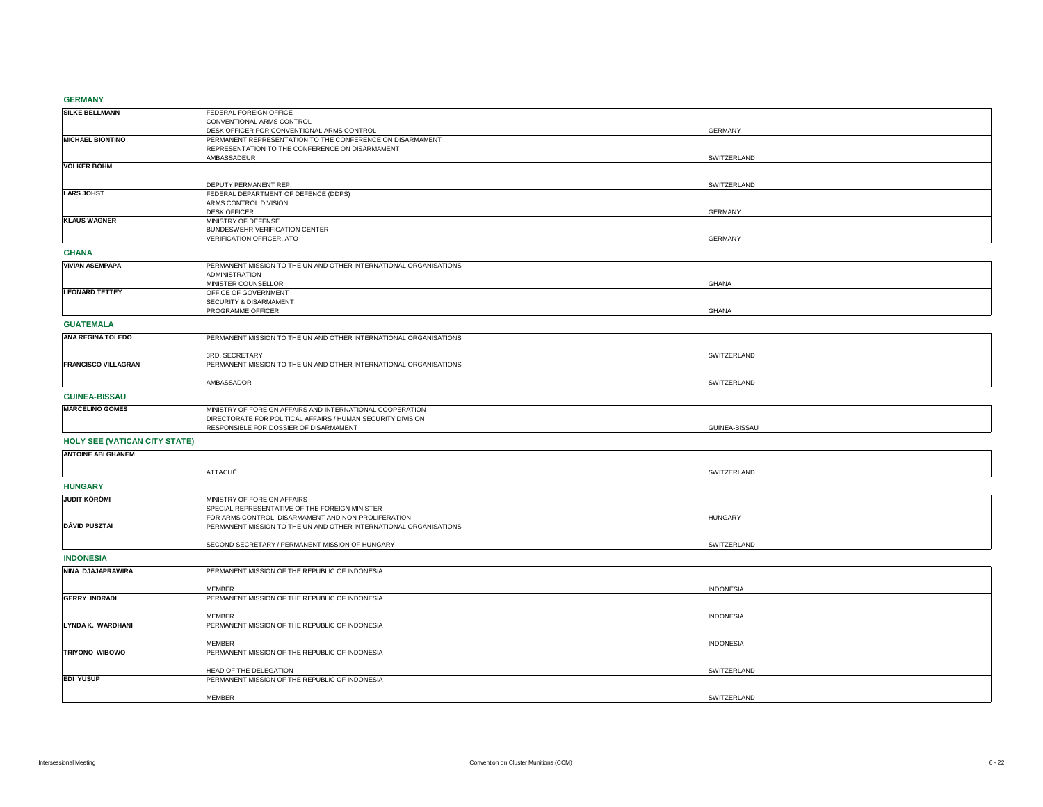**GERMANY**

| <b>SLIVINIA</b>                      |                                                                   |                  |
|--------------------------------------|-------------------------------------------------------------------|------------------|
| <b>SILKE BELLMANN</b>                | FEDERAL FOREIGN OFFICE                                            |                  |
|                                      | CONVENTIONAL ARMS CONTROL                                         |                  |
|                                      | DESK OFFICER FOR CONVENTIONAL ARMS CONTROL                        | <b>GERMANY</b>   |
| <b>MICHAEL BIONTINO</b>              | PERMANENT REPRESENTATION TO THE CONFERENCE ON DISARMAMENT         |                  |
|                                      | REPRESENTATION TO THE CONFERENCE ON DISARMAMENT                   |                  |
|                                      | AMBASSADEUR                                                       | SWITZERLAND      |
| <b>VOLKER BÖHM</b>                   |                                                                   |                  |
|                                      |                                                                   |                  |
|                                      | DEPUTY PERMANENT REP.                                             | SWITZERLAND      |
| <b>LARS JOHST</b>                    | FEDERAL DEPARTMENT OF DEFENCE (DDPS)                              |                  |
|                                      | ARMS CONTROL DIVISION                                             |                  |
|                                      | <b>DESK OFFICER</b>                                               | <b>GERMANY</b>   |
| <b>KLAUS WAGNER</b>                  | MINISTRY OF DEFENSE                                               |                  |
|                                      | BUNDESWEHR VERIFICATION CENTER                                    |                  |
|                                      | VERIFICATION OFFICER, ATO                                         | <b>GERMANY</b>   |
| <b>GHANA</b>                         |                                                                   |                  |
|                                      |                                                                   |                  |
| <b>VIVIAN ASEMPAPA</b>               | PERMANENT MISSION TO THE UN AND OTHER INTERNATIONAL ORGANISATIONS |                  |
|                                      | <b>ADMINISTRATION</b>                                             |                  |
|                                      | MINISTER COUNSELLOR                                               | <b>GHANA</b>     |
| <b>LEONARD TETTEY</b>                | OFFICE OF GOVERNMENT                                              |                  |
|                                      | SECURITY & DISARMAMENT                                            |                  |
|                                      | PROGRAMME OFFICER                                                 | <b>GHANA</b>     |
| <b>GUATEMALA</b>                     |                                                                   |                  |
|                                      |                                                                   |                  |
| <b>ANA REGINA TOLEDO</b>             | PERMANENT MISSION TO THE UN AND OTHER INTERNATIONAL ORGANISATIONS |                  |
|                                      |                                                                   |                  |
|                                      | 3RD. SECRETARY                                                    | SWITZERLAND      |
| <b>FRANCISCO VILLAGRAN</b>           | PERMANENT MISSION TO THE UN AND OTHER INTERNATIONAL ORGANISATIONS |                  |
|                                      |                                                                   |                  |
|                                      | AMBASSADOR                                                        | SWITZERLAND      |
| <b>GUINEA-BISSAU</b>                 |                                                                   |                  |
|                                      |                                                                   |                  |
| <b>MARCELINO GOMES</b>               | MINISTRY OF FOREIGN AFFAIRS AND INTERNATIONAL COOPERATION         |                  |
|                                      | DIRECTORATE FOR POLITICAL AFFAIRS / HUMAN SECURITY DIVISION       |                  |
|                                      | RESPONSIBLE FOR DOSSIER OF DISARMAMENT                            | GUINEA-BISSAU    |
| <b>HOLY SEE (VATICAN CITY STATE)</b> |                                                                   |                  |
| <b>ANTOINE ABI GHANEM</b>            |                                                                   |                  |
|                                      |                                                                   |                  |
|                                      | ATTACHÉ                                                           | SWITZERLAND      |
|                                      |                                                                   |                  |
| <b>HUNGARY</b>                       |                                                                   |                  |
| <b>JUDIT KÖRÖMI</b>                  | MINISTRY OF FOREIGN AFFAIRS                                       |                  |
|                                      | SPECIAL REPRESENTATIVE OF THE FOREIGN MINISTER                    |                  |
|                                      | FOR ARMS CONTROL, DISARMAMENT AND NON-PROLIFERATION               | <b>HUNGARY</b>   |
| <b>DÁVID PUSZTAI</b>                 | PERMANENT MISSION TO THE UN AND OTHER INTERNATIONAL ORGANISATIONS |                  |
|                                      |                                                                   |                  |
|                                      | SECOND SECRETARY / PERMANENT MISSION OF HUNGARY                   | SWITZERLAND      |
|                                      |                                                                   |                  |
| <b>INDONESIA</b>                     |                                                                   |                  |
| NINA DJAJAPRAWIRA                    | PERMANENT MISSION OF THE REPUBLIC OF INDONESIA                    |                  |
|                                      |                                                                   |                  |
|                                      | <b>MEMBER</b>                                                     | <b>INDONESIA</b> |
| <b>GERRY INDRADI</b>                 | PERMANENT MISSION OF THE REPUBLIC OF INDONESIA                    |                  |
|                                      |                                                                   |                  |
|                                      | <b>MEMBER</b>                                                     | <b>INDONESIA</b> |
| LYNDA K. WARDHANI                    | PERMANENT MISSION OF THE REPUBLIC OF INDONESIA                    |                  |
|                                      |                                                                   |                  |
|                                      |                                                                   |                  |
|                                      | <b>MEMBER</b>                                                     | <b>INDONESIA</b> |
| TRIYONO WIBOWO                       | PERMANENT MISSION OF THE REPUBLIC OF INDONESIA                    |                  |
|                                      |                                                                   |                  |
|                                      | HEAD OF THE DELEGATION                                            | SWITZERLAND      |
| <b>EDI YUSUP</b>                     | PERMANENT MISSION OF THE REPUBLIC OF INDONESIA                    |                  |
|                                      | <b>MEMBER</b>                                                     | SWITZERLAND      |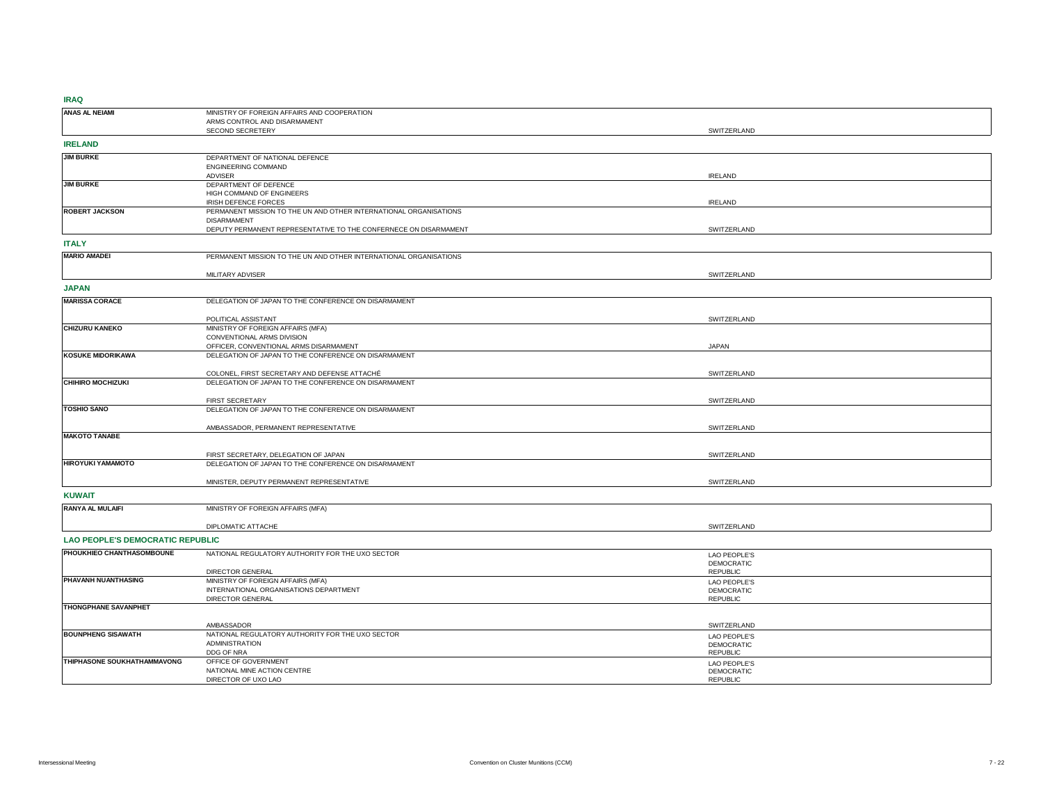| $\cdots$                                |                                                                   |                   |
|-----------------------------------------|-------------------------------------------------------------------|-------------------|
| ANAS AL NEIAMI                          | MINISTRY OF FOREIGN AFFAIRS AND COOPERATION                       |                   |
|                                         | ARMS CONTROL AND DISARMAMENT                                      |                   |
|                                         | SECOND SECRETERY                                                  | SWITZERLAND       |
|                                         |                                                                   |                   |
| <b>IRELAND</b>                          |                                                                   |                   |
|                                         |                                                                   |                   |
| <b>JIM BURKE</b>                        | DEPARTMENT OF NATIONAL DEFENCE                                    |                   |
|                                         | ENGINEERING COMMAND                                               |                   |
|                                         | ADVISER                                                           | <b>IRELAND</b>    |
| <b>JIM BURKE</b>                        | DEPARTMENT OF DEFENCE                                             |                   |
|                                         | HIGH COMMAND OF ENGINEERS                                         |                   |
|                                         |                                                                   | <b>IRELAND</b>    |
|                                         | IRISH DEFENCE FORCES                                              |                   |
| <b>ROBERT JACKSON</b>                   | PERMANENT MISSION TO THE UN AND OTHER INTERNATIONAL ORGANISATIONS |                   |
|                                         | <b>DISARMAMENT</b>                                                |                   |
|                                         | DEPUTY PERMANENT REPRESENTATIVE TO THE CONFERNECE ON DISARMAMENT  | SWITZERLAND       |
|                                         |                                                                   |                   |
| <b>ITALY</b>                            |                                                                   |                   |
| <b>MARIO AMADEI</b>                     | PERMANENT MISSION TO THE UN AND OTHER INTERNATIONAL ORGANISATIONS |                   |
|                                         |                                                                   |                   |
|                                         |                                                                   |                   |
|                                         | MILITARY ADVISER                                                  | SWITZERLAND       |
|                                         |                                                                   |                   |
| <b>JAPAN</b>                            |                                                                   |                   |
| <b>MARISSA CORACE</b>                   | DELEGATION OF JAPAN TO THE CONFERENCE ON DISARMAMENT              |                   |
|                                         |                                                                   |                   |
|                                         |                                                                   |                   |
|                                         | POLITICAL ASSISTANT                                               | SWITZERLAND       |
| <b>CHIZURU KANEKO</b>                   | MINISTRY OF FOREIGN AFFAIRS (MFA)                                 |                   |
|                                         | CONVENTIONAL ARMS DIVISION                                        |                   |
|                                         | OFFICER, CONVENTIONAL ARMS DISARMAMENT                            | <b>JAPAN</b>      |
| <b>KOSUKE MIDORIKAWA</b>                | DELEGATION OF JAPAN TO THE CONFERENCE ON DISARMAMENT              |                   |
|                                         |                                                                   |                   |
|                                         | COLONEL, FIRST SECRETARY AND DEFENSE ATTACHÉ                      | SWITZERLAND       |
| <b>CHIHIRO MOCHIZUKI</b>                |                                                                   |                   |
|                                         | DELEGATION OF JAPAN TO THE CONFERENCE ON DISARMAMENT              |                   |
|                                         |                                                                   |                   |
|                                         | FIRST SECRETARY                                                   | SWITZERLAND       |
| <b>TOSHIO SANO</b>                      | DELEGATION OF JAPAN TO THE CONFERENCE ON DISARMAMENT              |                   |
|                                         |                                                                   |                   |
|                                         | AMBASSADOR, PERMANENT REPRESENTATIVE                              | SWITZERLAND       |
| <b>MAKOTO TANABE</b>                    |                                                                   |                   |
|                                         |                                                                   |                   |
|                                         |                                                                   |                   |
|                                         | FIRST SECRETARY, DELEGATION OF JAPAN                              | SWITZERLAND       |
| HIROYUKI YAMAMOTO                       | DELEGATION OF JAPAN TO THE CONFERENCE ON DISARMAMENT              |                   |
|                                         |                                                                   |                   |
|                                         | MINISTER, DEPUTY PERMANENT REPRESENTATIVE                         | SWITZERLAND       |
|                                         |                                                                   |                   |
| <b>KUWAIT</b>                           |                                                                   |                   |
| RANYA AL MULAIFI                        | MINISTRY OF FOREIGN AFFAIRS (MFA)                                 |                   |
|                                         |                                                                   |                   |
|                                         |                                                                   |                   |
|                                         | DIPLOMATIC ATTACHE                                                | SWITZERLAND       |
| <b>LAO PEOPLE'S DEMOCRATIC REPUBLIC</b> |                                                                   |                   |
|                                         |                                                                   |                   |
| PHOUKHIEO CHANTHASOMBOUNE               | NATIONAL REGULATORY AUTHORITY FOR THE UXO SECTOR                  | LAO PEOPLE'S      |
|                                         |                                                                   | <b>DEMOCRATIC</b> |
|                                         |                                                                   | <b>REPUBLIC</b>   |
|                                         | DIRECTOR GENERAL                                                  |                   |
| PHAVANH NUANTHASING                     | MINISTRY OF FOREIGN AFFAIRS (MFA)                                 | LAO PEOPLE'S      |
|                                         | INTERNATIONAL ORGANISATIONS DEPARTMENT                            | <b>DEMOCRATIC</b> |
|                                         | DIRECTOR GENERAL                                                  | <b>REPUBLIC</b>   |
| THONGPHANE SAVANPHET                    |                                                                   |                   |
|                                         |                                                                   |                   |
|                                         | AMBASSADOR                                                        | SWITZERLAND       |
|                                         |                                                                   |                   |
| <b>BOUNPHENG SISAWATH</b>               | NATIONAL REGULATORY AUTHORITY FOR THE UXO SECTOR                  | LAO PEOPLE'S      |
|                                         | ADMINISTRATION                                                    | DEMOCRATIC        |
|                                         | DDG OF NRA                                                        | <b>REPUBLIC</b>   |
| THIPHASONE SOUKHATHAMMAVONG             | OFFICE OF GOVERNMENT                                              | LAO PEOPLE'S      |
|                                         | NATIONAL MINE ACTION CENTRE                                       | DEMOCRATIC        |
|                                         | DIRECTOR OF UXO LAO                                               | <b>REPUBLIC</b>   |
|                                         |                                                                   |                   |
|                                         |                                                                   |                   |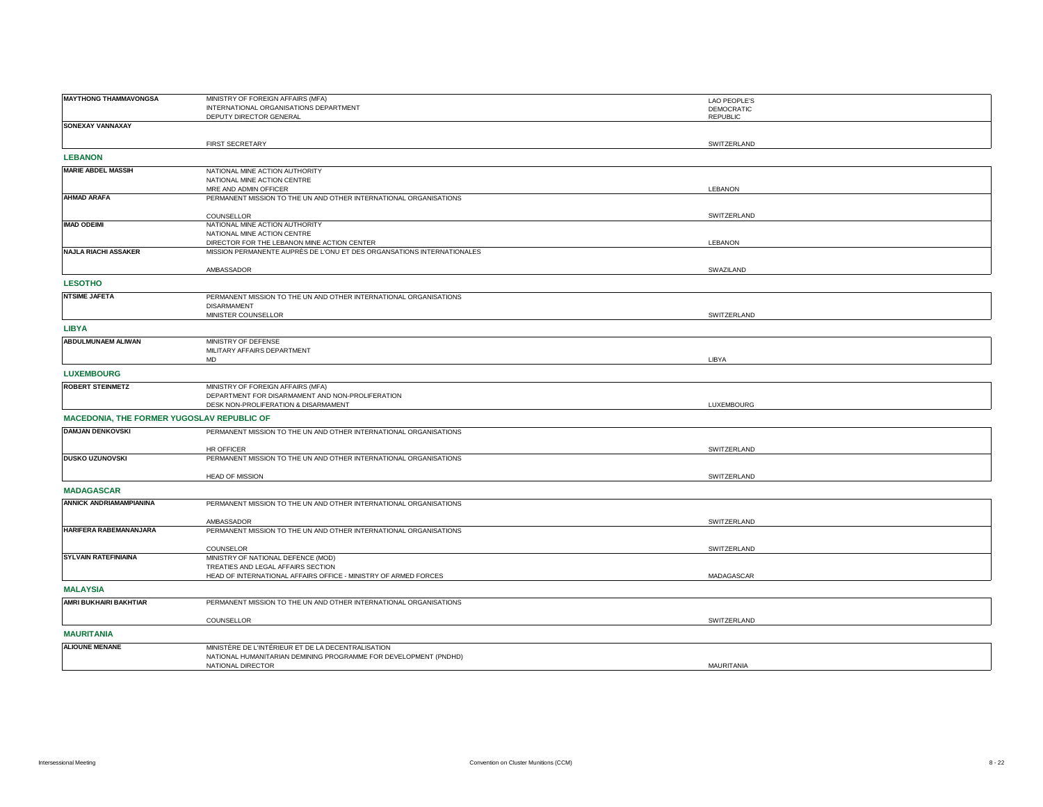| <b>MAYTHONG THAMMAVONGSA</b>               | MINISTRY OF FOREIGN AFFAIRS (MFA)                                      | <b>LAO PEOPLE'S</b> |
|--------------------------------------------|------------------------------------------------------------------------|---------------------|
|                                            | INTERNATIONAL ORGANISATIONS DEPARTMENT                                 | <b>DEMOCRATIC</b>   |
|                                            | DEPUTY DIRECTOR GENERAL                                                | <b>REPUBLIC</b>     |
| SONEXAY VANNAXAY                           |                                                                        |                     |
|                                            |                                                                        |                     |
|                                            | <b>FIRST SECRETARY</b>                                                 | SWITZERLAND         |
|                                            |                                                                        |                     |
| <b>LEBANON</b>                             |                                                                        |                     |
| <b>MARIE ABDEL MASSIH</b>                  | NATIONAL MINE ACTION AUTHORITY                                         |                     |
|                                            | NATIONAL MINE ACTION CENTRE                                            |                     |
|                                            | MRE AND ADMIN OFFICER                                                  | LEBANON             |
| <b>AHMAD ARAFA</b>                         | PERMANENT MISSION TO THE UN AND OTHER INTERNATIONAL ORGANISATIONS      |                     |
|                                            |                                                                        |                     |
|                                            |                                                                        | SWITZERLAND         |
| <b>IMAD ODEIMI</b>                         | COUNSELLOR                                                             |                     |
|                                            | NATIONAL MINE ACTION AUTHORITY                                         |                     |
|                                            | NATIONAL MINE ACTION CENTRE                                            |                     |
|                                            | DIRECTOR FOR THE LEBANON MINE ACTION CENTER                            | LEBANON             |
| <b>NAJLA RIACHI ASSAKER</b>                | MISSION PERMANENTE AUPRÈS DE L'ONU ET DES ORGANSATIONS INTERNATIONALES |                     |
|                                            |                                                                        |                     |
|                                            | AMBASSADOR                                                             | SWAZILAND           |
| <b>LESOTHO</b>                             |                                                                        |                     |
| <b>NTSIME JAFETA</b>                       |                                                                        |                     |
|                                            | PERMANENT MISSION TO THE UN AND OTHER INTERNATIONAL ORGANISATIONS      |                     |
|                                            | <b>DISARMAMENT</b>                                                     |                     |
|                                            | MINISTER COUNSELLOR                                                    | SWITZERLAND         |
| <b>LIBYA</b>                               |                                                                        |                     |
|                                            |                                                                        |                     |
| ABDULMUNAEM ALIWAN                         | MINISTRY OF DEFENSE                                                    |                     |
|                                            | MILITARY AFFAIRS DEPARTMENT                                            |                     |
|                                            | <b>MD</b>                                                              | LIBYA               |
| <b>LUXEMBOURG</b>                          |                                                                        |                     |
|                                            |                                                                        |                     |
| <b>ROBERT STEINMETZ</b>                    | MINISTRY OF FOREIGN AFFAIRS (MFA)                                      |                     |
|                                            | DEPARTMENT FOR DISARMAMENT AND NON-PROLIFERATION                       |                     |
|                                            | DESK NON-PROLIFERATION & DISARMAMENT                                   | LUXEMBOURG          |
| MACEDONIA, THE FORMER YUGOSLAV REPUBLIC OF |                                                                        |                     |
|                                            |                                                                        |                     |
| <b>DAMJAN DENKOVSKI</b>                    | PERMANENT MISSION TO THE UN AND OTHER INTERNATIONAL ORGANISATIONS      |                     |
|                                            |                                                                        |                     |
|                                            | <b>HR OFFICER</b>                                                      | SWITZERLAND         |
| <b>DUSKO UZUNOVSKI</b>                     | PERMANENT MISSION TO THE UN AND OTHER INTERNATIONAL ORGANISATIONS      |                     |
|                                            |                                                                        |                     |
|                                            | <b>HEAD OF MISSION</b>                                                 | SWITZERLAND         |
| <b>MADAGASCAR</b>                          |                                                                        |                     |
|                                            |                                                                        |                     |
| ANNICK ANDRIAMAMPIANINA                    | PERMANENT MISSION TO THE UN AND OTHER INTERNATIONAL ORGANISATIONS      |                     |
|                                            |                                                                        |                     |
|                                            | AMBASSADOR                                                             | SWITZERLAND         |
| HARIFERA RABEMANANJARA                     | PERMANENT MISSION TO THE UN AND OTHER INTERNATIONAL ORGANISATIONS      |                     |
|                                            |                                                                        |                     |
|                                            | COUNSELOR                                                              | SWITZERLAND         |
| <b>SYLVAIN RATEFINIAINA</b>                | MINISTRY OF NATIONAL DEFENCE (MOD)                                     |                     |
|                                            | TREATIES AND LEGAL AFFAIRS SECTION                                     |                     |
|                                            | HEAD OF INTERNATIONAL AFFAIRS OFFICE - MINISTRY OF ARMED FORCES        | MADAGASCAR          |
|                                            |                                                                        |                     |
| <b>MALAYSIA</b>                            |                                                                        |                     |
| AMRI BUKHAIRI BAKHTIAR                     | PERMANENT MISSION TO THE UN AND OTHER INTERNATIONAL ORGANISATIONS      |                     |
|                                            |                                                                        |                     |
|                                            | COUNSELLOR                                                             | SWITZERLAND         |
|                                            |                                                                        |                     |
| <b>MAURITANIA</b>                          |                                                                        |                     |
| <b>ALIOUNE MENANE</b>                      | MINISTÈRE DE L'INTÉRIEUR ET DE LA DECENTRALISATION                     |                     |
|                                            | NATIONAL HUMANITARIAN DEMINING PROGRAMME FOR DEVELOPMENT (PNDHD)       |                     |
|                                            | NATIONAL DIRECTOR                                                      | MAURITANIA          |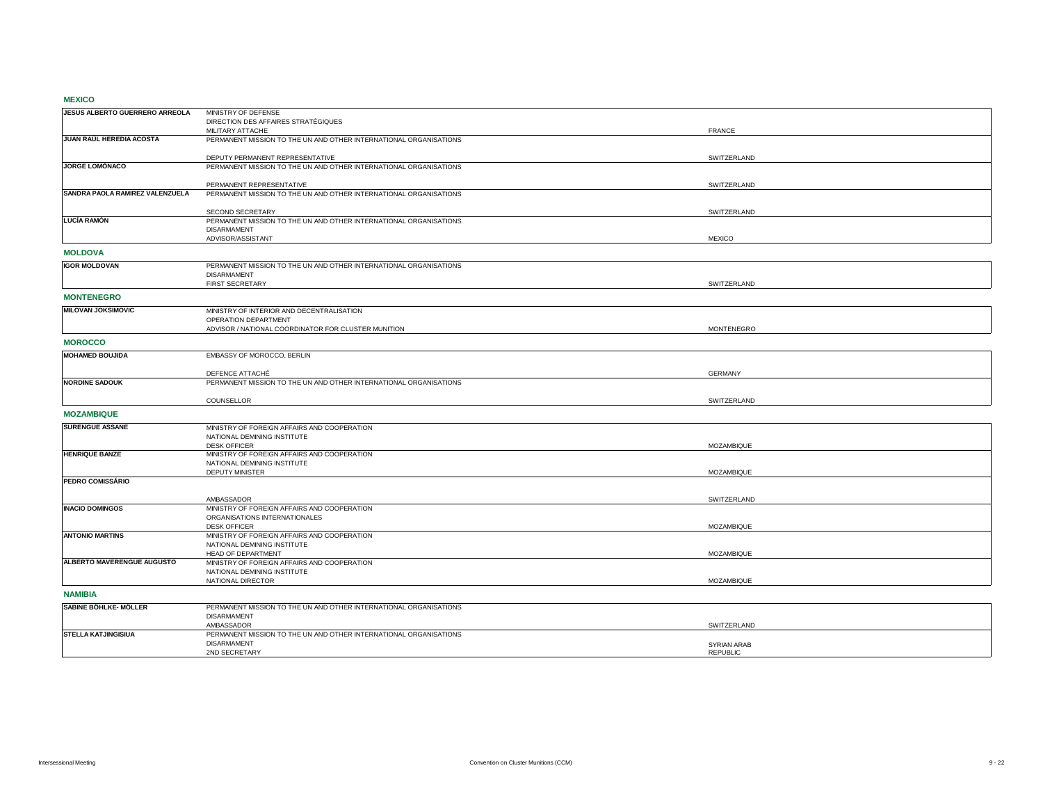#### **MEXICO**

| JESUS ALBERTO GUERRERO ARREOLA  | MINISTRY OF DEFENSE                                                             |                                       |
|---------------------------------|---------------------------------------------------------------------------------|---------------------------------------|
|                                 | DIRECTION DES AFFAIRES STRATÉGIQUES                                             |                                       |
|                                 | MILITARY ATTACHE                                                                | <b>FRANCE</b>                         |
| JUAN RAÚL HEREDIA ACOSTA        | PERMANENT MISSION TO THE UN AND OTHER INTERNATIONAL ORGANISATIONS               |                                       |
|                                 |                                                                                 |                                       |
|                                 | DEPUTY PERMANENT REPRESENTATIVE                                                 | SWITZERLAND                           |
| JORGE LOMÓNACO                  | PERMANENT MISSION TO THE UN AND OTHER INTERNATIONAL ORGANISATIONS               |                                       |
|                                 |                                                                                 |                                       |
|                                 | PERMANENT REPRESENTATIVE                                                        | SWITZERLAND                           |
| SANDRA PAOLA RAMIREZ VALENZUELA | PERMANENT MISSION TO THE UN AND OTHER INTERNATIONAL ORGANISATIONS               |                                       |
|                                 |                                                                                 |                                       |
|                                 | SECOND SECRETARY                                                                | SWITZERLAND                           |
| <b>LUCÍA RAMÓN</b>              | PERMANENT MISSION TO THE UN AND OTHER INTERNATIONAL ORGANISATIONS               |                                       |
|                                 | <b>DISARMAMENT</b>                                                              |                                       |
|                                 | ADVISOR/ASSISTANT                                                               | <b>MEXICO</b>                         |
| <b>MOLDOVA</b>                  |                                                                                 |                                       |
|                                 |                                                                                 |                                       |
| <b>IGOR MOLDOVAN</b>            | PERMANENT MISSION TO THE UN AND OTHER INTERNATIONAL ORGANISATIONS               |                                       |
|                                 | <b>DISARMAMENT</b>                                                              |                                       |
|                                 | FIRST SECRETARY                                                                 | SWITZERLAND                           |
| <b>MONTENEGRO</b>               |                                                                                 |                                       |
| <b>MILOVAN JOKSIMOVIC</b>       |                                                                                 |                                       |
|                                 | MINISTRY OF INTERIOR AND DECENTRALISATION                                       |                                       |
|                                 | OPERATION DEPARTMENT                                                            |                                       |
|                                 | ADVISOR / NATIONAL COORDINATOR FOR CLUSTER MUNITION                             | <b>MONTENEGRO</b>                     |
| <b>MOROCCO</b>                  |                                                                                 |                                       |
| <b>MOHAMED BOUJIDA</b>          | EMBASSY OF MOROCCO, BERLIN                                                      |                                       |
|                                 |                                                                                 |                                       |
|                                 | DEFENCE ATTACHÉ                                                                 | <b>GERMANY</b>                        |
| <b>NORDINE SADOUK</b>           | PERMANENT MISSION TO THE UN AND OTHER INTERNATIONAL ORGANISATIONS               |                                       |
|                                 |                                                                                 |                                       |
|                                 | COUNSELLOR                                                                      | SWITZERLAND                           |
|                                 |                                                                                 |                                       |
| <b>MOZAMBIQUE</b>               |                                                                                 |                                       |
| <b>SURENGUE ASSANE</b>          | MINISTRY OF FOREIGN AFFAIRS AND COOPERATION                                     |                                       |
|                                 | NATIONAL DEMINING INSTITUTE                                                     |                                       |
|                                 | <b>DESK OFFICER</b>                                                             | <b>MOZAMBIQUE</b>                     |
| <b>HENRIQUE BANZE</b>           | MINISTRY OF FOREIGN AFFAIRS AND COOPERATION                                     |                                       |
|                                 | NATIONAL DEMINING INSTITUTE                                                     |                                       |
|                                 | <b>DEPUTY MINISTER</b>                                                          | MOZAMBIQUE                            |
| PEDRO COMISSÁRIO                |                                                                                 |                                       |
|                                 |                                                                                 |                                       |
|                                 | AMBASSADOR                                                                      | SWITZERLAND                           |
| <b>INACIO DOMINGOS</b>          | MINISTRY OF FOREIGN AFFAIRS AND COOPERATION                                     |                                       |
|                                 | ORGANISATIONS INTERNATIONALES                                                   |                                       |
|                                 | <b>DESK OFFICER</b>                                                             | MOZAMBIQUE                            |
| <b>ANTONIO MARTINS</b>          | MINISTRY OF FOREIGN AFFAIRS AND COOPERATION                                     |                                       |
|                                 | NATIONAL DEMINING INSTITUTE                                                     |                                       |
|                                 | HEAD OF DEPARTMENT                                                              | MOZAMBIQUE                            |
| ALBERTO MAVERENGUE AUGUSTO      | MINISTRY OF FOREIGN AFFAIRS AND COOPERATION                                     |                                       |
|                                 | NATIONAL DEMINING INSTITUTE                                                     |                                       |
|                                 | NATIONAL DIRECTOR                                                               | MOZAMBIQUE                            |
| <b>NAMIBIA</b>                  |                                                                                 |                                       |
| SABINE BÖHLKE- MÖLLER           |                                                                                 |                                       |
|                                 | PERMANENT MISSION TO THE UN AND OTHER INTERNATIONAL ORGANISATIONS               |                                       |
|                                 | <b>DISARMAMENT</b>                                                              |                                       |
| <b>STELLA KATJINGISIUA</b>      | AMBASSADOR<br>PERMANENT MISSION TO THE UN AND OTHER INTERNATIONAL ORGANISATIONS | SWITZERLAND                           |
|                                 | <b>DISARMAMENT</b>                                                              |                                       |
|                                 | 2ND SECRETARY                                                                   | <b>SYRIAN ARAB</b><br><b>REPUBLIC</b> |
|                                 |                                                                                 |                                       |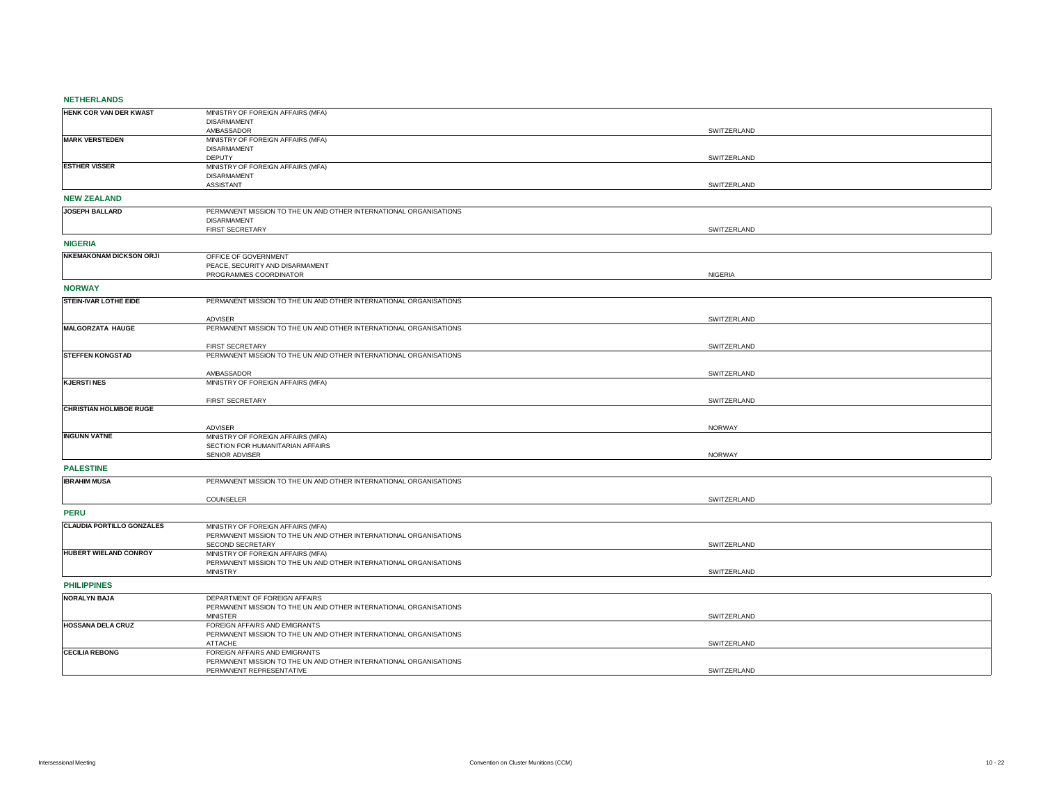## **NETHERLANDS**

| HENK COR VAN DER KWAST           | MINISTRY OF FOREIGN AFFAIRS (MFA)                                                                  |               |
|----------------------------------|----------------------------------------------------------------------------------------------------|---------------|
|                                  | <b>DISARMAMENT</b>                                                                                 |               |
|                                  | AMBASSADOR                                                                                         | SWITZERLAND   |
| <b>MARK VERSTEDEN</b>            | MINISTRY OF FOREIGN AFFAIRS (MFA)<br><b>DISARMAMENT</b>                                            |               |
|                                  | <b>DEPUTY</b>                                                                                      | SWITZERLAND   |
| <b>ESTHER VISSER</b>             | MINISTRY OF FOREIGN AFFAIRS (MFA)                                                                  |               |
|                                  | <b>DISARMAMENT</b>                                                                                 |               |
|                                  | ASSISTANT                                                                                          | SWITZERLAND   |
| <b>NEW ZEALAND</b>               |                                                                                                    |               |
| JOSEPH BALLARD                   | PERMANENT MISSION TO THE UN AND OTHER INTERNATIONAL ORGANISATIONS                                  |               |
|                                  | <b>DISARMAMENT</b>                                                                                 |               |
|                                  | FIRST SECRETARY                                                                                    | SWITZERLAND   |
| <b>NIGERIA</b>                   |                                                                                                    |               |
| <b>NKEMAKONAM DICKSON ORJI</b>   | OFFICE OF GOVERNMENT                                                                               |               |
|                                  | PEACE, SECURITY AND DISARMAMENT<br>PROGRAMMES COORDINATOR                                          | NIGERIA       |
|                                  |                                                                                                    |               |
| <b>NORWAY</b>                    |                                                                                                    |               |
| <b>STEIN-IVAR LOTHE EIDE</b>     | PERMANENT MISSION TO THE UN AND OTHER INTERNATIONAL ORGANISATIONS                                  |               |
|                                  |                                                                                                    |               |
| <b>MALGORZATA HAUGE</b>          | <b>ADVISER</b><br>PERMANENT MISSION TO THE UN AND OTHER INTERNATIONAL ORGANISATIONS                | SWITZERLAND   |
|                                  |                                                                                                    |               |
|                                  | FIRST SECRETARY                                                                                    | SWITZERLAND   |
| <b>STEFFEN KONGSTAD</b>          | PERMANENT MISSION TO THE UN AND OTHER INTERNATIONAL ORGANISATIONS                                  |               |
|                                  | AMBASSADOR                                                                                         | SWITZERLAND   |
| <b>KJERSTINES</b>                | MINISTRY OF FOREIGN AFFAIRS (MFA)                                                                  |               |
|                                  |                                                                                                    |               |
|                                  | FIRST SECRETARY                                                                                    | SWITZERLAND   |
| <b>CHRISTIAN HOLMBOE RUGE</b>    |                                                                                                    |               |
|                                  | ADVISER                                                                                            | NORWAY        |
| <b>INGUNN VATNE</b>              | MINISTRY OF FOREIGN AFFAIRS (MFA)                                                                  |               |
|                                  | SECTION FOR HUMANITARIAN AFFAIRS                                                                   |               |
|                                  | SENIOR ADVISER                                                                                     | <b>NORWAY</b> |
| <b>PALESTINE</b>                 |                                                                                                    |               |
| <b>IBRAHIM MUSA</b>              | PERMANENT MISSION TO THE UN AND OTHER INTERNATIONAL ORGANISATIONS                                  |               |
|                                  | COUNSELER                                                                                          | SWITZERLAND   |
|                                  |                                                                                                    |               |
| <b>PERU</b>                      |                                                                                                    |               |
| <b>CLAUDIA PORTILLO GONZÁLES</b> | MINISTRY OF FOREIGN AFFAIRS (MFA)                                                                  |               |
|                                  | PERMANENT MISSION TO THE UN AND OTHER INTERNATIONAL ORGANISATIONS                                  |               |
| HUBERT WIELAND CONROY            | SECOND SECRETARY<br>MINISTRY OF FOREIGN AFFAIRS (MFA)                                              | SWITZERLAND   |
|                                  | PERMANENT MISSION TO THE UN AND OTHER INTERNATIONAL ORGANISATIONS                                  |               |
|                                  | <b>MINISTRY</b>                                                                                    | SWITZERLAND   |
| <b>PHILIPPINES</b>               |                                                                                                    |               |
| <b>NORALYN BAJA</b>              | DEPARTMENT OF FOREIGN AFFAIRS                                                                      |               |
|                                  | PERMANENT MISSION TO THE UN AND OTHER INTERNATIONAL ORGANISATIONS                                  |               |
|                                  | <b>MINISTER</b>                                                                                    | SWITZERLAND   |
| <b>HOSSANA DELA CRUZ</b>         | FOREIGN AFFAIRS AND EMIGRANTS<br>PERMANENT MISSION TO THE UN AND OTHER INTERNATIONAL ORGANISATIONS |               |
|                                  | <b>ATTACHE</b>                                                                                     | SWITZERLAND   |
| <b>CECILIA REBONG</b>            | FOREIGN AFFAIRS AND EMIGRANTS                                                                      |               |
|                                  | PERMANENT MISSION TO THE UN AND OTHER INTERNATIONAL ORGANISATIONS                                  |               |
|                                  | PERMANENT REPRESENTATIVE                                                                           | SWITZERLAND   |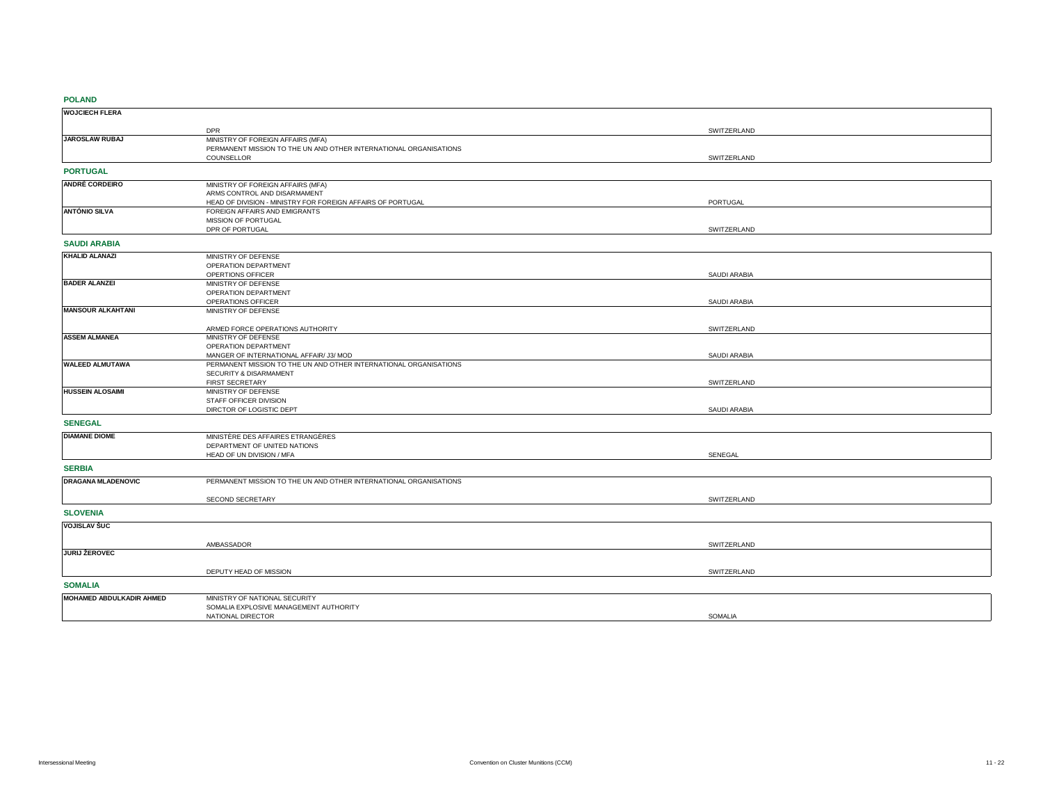## **POLAND**

| $\sim$                    |                                                                   |                     |
|---------------------------|-------------------------------------------------------------------|---------------------|
| <b>WOJCIECH FLERA</b>     |                                                                   |                     |
|                           | <b>DPR</b>                                                        | SWITZERLAND         |
| <b>JAROSLAW RUBAJ</b>     | MINISTRY OF FOREIGN AFFAIRS (MFA)                                 |                     |
|                           | PERMANENT MISSION TO THE UN AND OTHER INTERNATIONAL ORGANISATIONS |                     |
|                           | COUNSELLOR                                                        | SWITZERLAND         |
| <b>PORTUGAL</b>           |                                                                   |                     |
| <b>ANDRÉ CORDEIRO</b>     | MINISTRY OF FOREIGN AFFAIRS (MFA)                                 |                     |
|                           | ARMS CONTROL AND DISARMAMENT                                      |                     |
|                           | HEAD OF DIVISION - MINISTRY FOR FOREIGN AFFAIRS OF PORTUGAL       | PORTUGAL            |
| <b>ANTÓNIO SILVA</b>      | FOREIGN AFFAIRS AND EMIGRANTS                                     |                     |
|                           | MISSION OF PORTUGAL                                               |                     |
|                           | DPR OF PORTUGAL                                                   | SWITZERLAND         |
| <b>SAUDI ARABIA</b>       |                                                                   |                     |
| <b>KHALID ALANAZI</b>     | MINISTRY OF DEFENSE                                               |                     |
|                           | OPERATION DEPARTMENT                                              |                     |
|                           | OPERTIONS OFFICER                                                 | <b>SAUDI ARABIA</b> |
| <b>BADER ALANZEI</b>      | MINISTRY OF DEFENSE                                               |                     |
|                           | OPERATION DEPARTMENT                                              |                     |
|                           | OPERATIONS OFFICER                                                | SAUDI ARABIA        |
| <b>MANSOUR ALKAHTANI</b>  | MINISTRY OF DEFENSE                                               |                     |
|                           | ARMED FORCE OPERATIONS AUTHORITY                                  | SWITZERLAND         |
| <b>ASSEM ALMANEA</b>      | MINISTRY OF DEFENSE                                               |                     |
|                           | OPERATION DEPARTMENT                                              |                     |
|                           | MANGER OF INTERNATIONAL AFFAIR/ J3/ MOD                           | SAUDI ARABIA        |
| <b>WALEED ALMUTAWA</b>    | PERMANENT MISSION TO THE UN AND OTHER INTERNATIONAL ORGANISATIONS |                     |
|                           | SECURITY & DISARMAMENT                                            |                     |
| <b>HUSSEIN ALOSAIMI</b>   | FIRST SECRETARY                                                   | SWITZERLAND         |
|                           | MINISTRY OF DEFENSE<br>STAFF OFFICER DIVISION                     |                     |
|                           | DIRCTOR OF LOGISTIC DEPT                                          | SAUDI ARABIA        |
|                           |                                                                   |                     |
| <b>SENEGAL</b>            |                                                                   |                     |
| <b>DIAMANE DIOME</b>      | MINISTÈRE DES AFFAIRES ETRANGÈRES                                 |                     |
|                           | DEPARTMENT OF UNITED NATIONS                                      |                     |
|                           | HEAD OF UN DIVISION / MFA                                         | SENEGAL             |
| <b>SERBIA</b>             |                                                                   |                     |
| <b>DRAGANA MLADENOVIC</b> | PERMANENT MISSION TO THE UN AND OTHER INTERNATIONAL ORGANISATIONS |                     |
|                           | SECOND SECRETARY                                                  | SWITZERLAND         |
| <b>SLOVENIA</b>           |                                                                   |                     |
| <b>VOJISLAV ŠUC</b>       |                                                                   |                     |
|                           |                                                                   |                     |
| JURIJ ŽEROVEC             | AMBASSADOR                                                        | SWITZERLAND         |
|                           |                                                                   |                     |
|                           | DEPUTY HEAD OF MISSION                                            | SWITZERLAND         |
| <b>SOMALIA</b>            |                                                                   |                     |
| MOHAMED ABDULKADIR AHMED  | MINISTRY OF NATIONAL SECURITY                                     |                     |
|                           | SOMALIA EXPLOSIVE MANAGEMENT AUTHORITY                            |                     |
|                           | NATIONAL DIRECTOR                                                 | SOMALIA             |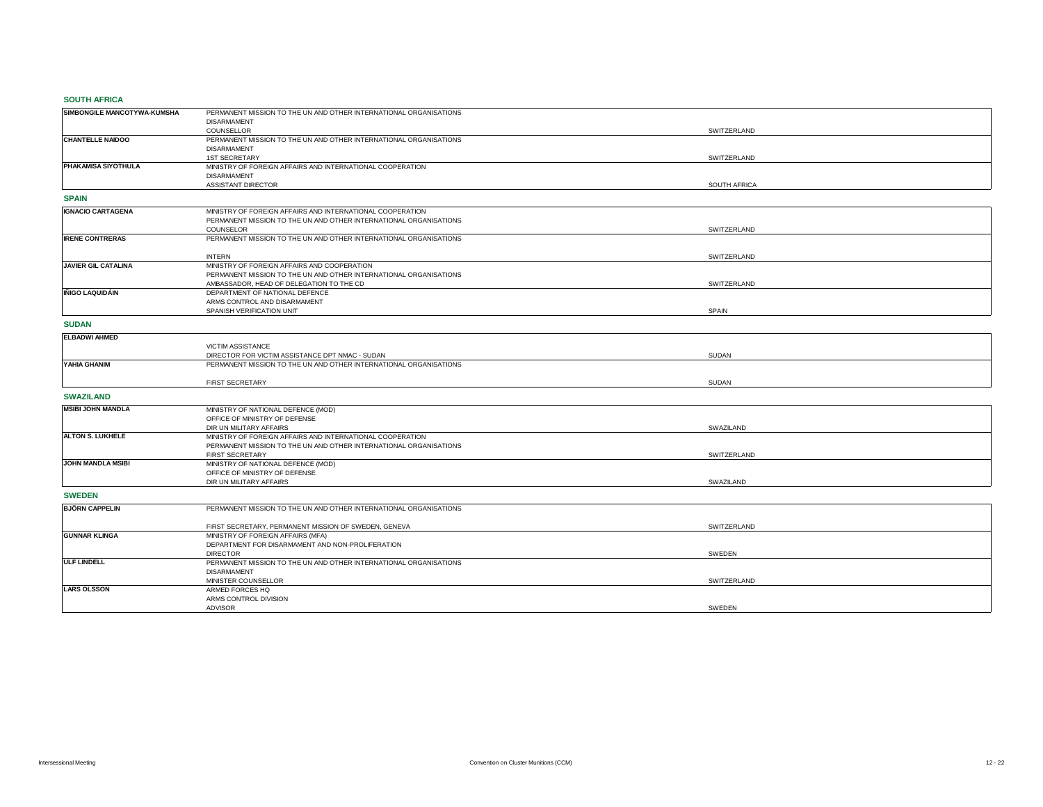## **SOUTH AFRICA**

| <b>SUUTH AFRIUA</b>         |                                                                   |              |
|-----------------------------|-------------------------------------------------------------------|--------------|
| SIMBONGILE MANCOTYWA-KUMSHA | PERMANENT MISSION TO THE UN AND OTHER INTERNATIONAL ORGANISATIONS |              |
|                             | <b>DISARMAMENT</b>                                                |              |
|                             | COUNSELLOR                                                        | SWITZERLAND  |
| <b>CHANTELLE NAIDOO</b>     | PERMANENT MISSION TO THE UN AND OTHER INTERNATIONAL ORGANISATIONS |              |
|                             | <b>DISARMAMENT</b>                                                |              |
|                             | <b>1ST SECRETARY</b>                                              | SWITZERLAND  |
| PHAKAMISA SIYOTHULA         | MINISTRY OF FOREIGN AFFAIRS AND INTERNATIONAL COOPERATION         |              |
|                             | <b>DISARMAMENT</b>                                                |              |
|                             | ASSISTANT DIRECTOR                                                | SOUTH AFRICA |
| <b>SPAIN</b>                |                                                                   |              |
| <b>IGNACIO CARTAGENA</b>    | MINISTRY OF FOREIGN AFFAIRS AND INTERNATIONAL COOPERATION         |              |
|                             | PERMANENT MISSION TO THE UN AND OTHER INTERNATIONAL ORGANISATIONS |              |
|                             | COUNSELOR                                                         | SWITZERLAND  |
| <b>IRENE CONTRERAS</b>      | PERMANENT MISSION TO THE UN AND OTHER INTERNATIONAL ORGANISATIONS |              |
|                             | <b>INTERN</b>                                                     | SWITZERLAND  |
| <b>JAVIER GIL CATALINA</b>  | MINISTRY OF FOREIGN AFFAIRS AND COOPERATION                       |              |
|                             | PERMANENT MISSION TO THE UN AND OTHER INTERNATIONAL ORGANISATIONS |              |
|                             | AMBASSADOR, HEAD OF DELEGATION TO THE CD                          | SWITZERLAND  |
| <b>IÑIGO LAQUIDÁIN</b>      | DEPARTMENT OF NATIONAL DEFENCE                                    |              |
|                             | ARMS CONTROL AND DISARMAMENT                                      |              |
|                             | SPANISH VERIFICATION UNIT                                         | <b>SPAIN</b> |
| <b>SUDAN</b>                |                                                                   |              |
| <b>ELBADWI AHMED</b>        |                                                                   |              |
|                             | <b>VICTIM ASSISTANCE</b>                                          |              |
|                             | DIRECTOR FOR VICTIM ASSISTANCE DPT NMAC - SUDAN                   | <b>SUDAN</b> |
| YAHIA GHANIM                | PERMANENT MISSION TO THE UN AND OTHER INTERNATIONAL ORGANISATIONS |              |
|                             |                                                                   |              |
|                             | FIRST SECRETARY                                                   | <b>SUDAN</b> |
| <b>SWAZILAND</b>            |                                                                   |              |
|                             |                                                                   |              |
| <b>MSIBI JOHN MANDLA</b>    | MINISTRY OF NATIONAL DEFENCE (MOD)                                |              |
|                             | OFFICE OF MINISTRY OF DEFENSE                                     |              |
|                             | DIR UN MILITARY AFFAIRS                                           | SWAZILAND    |
| ALTON S. LUKHELE            | MINISTRY OF FOREIGN AFFAIRS AND INTERNATIONAL COOPERATION         |              |
|                             | PERMANENT MISSION TO THE UN AND OTHER INTERNATIONAL ORGANISATIONS |              |
|                             | <b>FIRST SECRETARY</b>                                            | SWITZERLAND  |
| JOHN MANDLA MSIBI           | MINISTRY OF NATIONAL DEFENCE (MOD)                                |              |
|                             | OFFICE OF MINISTRY OF DEFENSE                                     |              |
|                             | DIR UN MILITARY AFFAIRS                                           | SWAZILAND    |
| <b>SWEDEN</b>               |                                                                   |              |
| <b>BJÖRN CAPPELIN</b>       | PERMANENT MISSION TO THE UN AND OTHER INTERNATIONAL ORGANISATIONS |              |
|                             | FIRST SECRETARY, PERMANENT MISSION OF SWEDEN, GENEVA              | SWITZERLAND  |
| <b>GUNNAR KLINGA</b>        | MINISTRY OF FOREIGN AFFAIRS (MFA)                                 |              |
|                             | DEPARTMENT FOR DISARMAMENT AND NON-PROLIFERATION                  |              |
|                             | <b>DIRECTOR</b>                                                   | SWEDEN       |
| <b>ULF LINDELL</b>          | PERMANENT MISSION TO THE UN AND OTHER INTERNATIONAL ORGANISATIONS |              |
|                             | <b>DISARMAMENT</b>                                                |              |
|                             | MINISTER COUNSELLOR                                               | SWITZERLAND  |
| <b>LARS OLSSON</b>          | ARMED FORCES HQ                                                   |              |
|                             | ARMS CONTROL DIVISION                                             |              |
|                             | ADVISOR                                                           | SWEDEN       |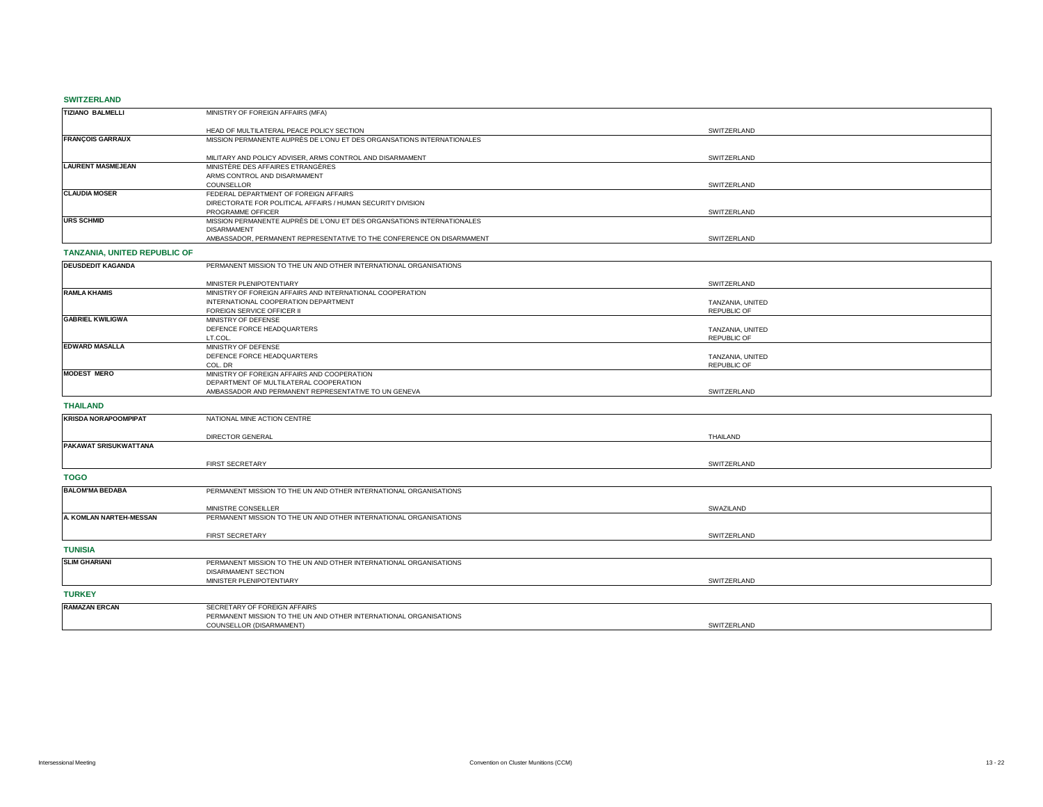### **SWITZERLAND**

| ------------                 |                                                                                       |                    |  |
|------------------------------|---------------------------------------------------------------------------------------|--------------------|--|
| <b>TIZIANO BALMELLI</b>      | MINISTRY OF FOREIGN AFFAIRS (MFA)                                                     |                    |  |
|                              | HEAD OF MULTILATERAL PEACE POLICY SECTION                                             | SWITZERLAND        |  |
| <b>FRANÇOIS GARRAUX</b>      | MISSION PERMANENTE AUPRÈS DE L'ONU ET DES ORGANSATIONS INTERNATIONALES                |                    |  |
|                              | MILITARY AND POLICY ADVISER, ARMS CONTROL AND DISARMAMENT                             | SWITZERLAND        |  |
| <b>LAURENT MASMEJEAN</b>     | MINISTÈRE DES AFFAIRES ETRANGÈRES                                                     |                    |  |
|                              | ARMS CONTROL AND DISARMAMENT                                                          |                    |  |
| <b>CLAUDIA MOSER</b>         | COUNSELLOR<br>FEDERAL DEPARTMENT OF FOREIGN AFFAIRS                                   | SWITZERLAND        |  |
|                              | DIRECTORATE FOR POLITICAL AFFAIRS / HUMAN SECURITY DIVISION                           |                    |  |
|                              | PROGRAMME OFFICER                                                                     | SWITZERLAND        |  |
| <b>URS SCHMID</b>            | MISSION PERMANENTE AUPRÈS DE L'ONU ET DES ORGANSATIONS INTERNATIONALES                |                    |  |
|                              | <b>DISARMAMENT</b>                                                                    |                    |  |
|                              | AMBASSADOR, PERMANENT REPRESENTATIVE TO THE CONFERENCE ON DISARMAMENT                 | SWITZERLAND        |  |
| TANZANIA, UNITED REPUBLIC OF |                                                                                       |                    |  |
| <b>DEUSDEDIT KAGANDA</b>     | PERMANENT MISSION TO THE UN AND OTHER INTERNATIONAL ORGANISATIONS                     |                    |  |
|                              | MINISTER PLENIPOTENTIARY                                                              | SWITZERLAND        |  |
| <b>RAMLA KHAMIS</b>          | MINISTRY OF FOREIGN AFFAIRS AND INTERNATIONAL COOPERATION                             |                    |  |
|                              | INTERNATIONAL COOPERATION DEPARTMENT                                                  | TANZANIA, UNITED   |  |
| <b>GABRIEL KWILIGWA</b>      | FOREIGN SERVICE OFFICER II<br>MINISTRY OF DEFENSE                                     | <b>REPUBLIC OF</b> |  |
|                              | DEFENCE FORCE HEADQUARTERS                                                            | TANZANIA, UNITED   |  |
|                              | LT.COL.                                                                               | <b>REPUBLIC OF</b> |  |
| <b>EDWARD MASALLA</b>        | MINISTRY OF DEFENSE                                                                   |                    |  |
|                              | DEFENCE FORCE HEADQUARTERS                                                            | TANZANIA, UNITED   |  |
| <b>MODEST MERO</b>           | COL. DR                                                                               | <b>REPUBLIC OF</b> |  |
|                              | MINISTRY OF FOREIGN AFFAIRS AND COOPERATION<br>DEPARTMENT OF MULTILATERAL COOPERATION |                    |  |
|                              | AMBASSADOR AND PERMANENT REPRESENTATIVE TO UN GENEVA                                  | SWITZERLAND        |  |
| <b>THAILAND</b>              |                                                                                       |                    |  |
| <b>KRISDA NORAPOOMPIPAT</b>  | NATIONAL MINE ACTION CENTRE                                                           |                    |  |
|                              |                                                                                       |                    |  |
|                              | <b>DIRECTOR GENERAL</b>                                                               | THAILAND           |  |
| PAKAWAT SRISUKWATTANA        |                                                                                       |                    |  |
|                              | <b>FIRST SECRETARY</b>                                                                | SWITZERLAND        |  |
| <b>TOGO</b>                  |                                                                                       |                    |  |
| <b>BALOM'MA BEDABA</b>       | PERMANENT MISSION TO THE UN AND OTHER INTERNATIONAL ORGANISATIONS                     |                    |  |
|                              |                                                                                       |                    |  |
|                              | MINISTRE CONSEILLER                                                                   | SWAZILAND          |  |
| A. KOMLAN NARTEH-MESSAN      | PERMANENT MISSION TO THE UN AND OTHER INTERNATIONAL ORGANISATIONS                     |                    |  |
|                              | FIRST SECRETARY                                                                       | SWITZERLAND        |  |
| <b>TUNISIA</b>               |                                                                                       |                    |  |
| <b>SLIM GHARIANI</b>         | PERMANENT MISSION TO THE UN AND OTHER INTERNATIONAL ORGANISATIONS                     |                    |  |
|                              | <b>DISARMAMENT SECTION</b>                                                            |                    |  |
|                              | MINISTER PLENIPOTENTIARY                                                              | SWITZERLAND        |  |
| <b>TURKEY</b>                |                                                                                       |                    |  |
| <b>RAMAZAN ERCAN</b>         | SECRETARY OF FOREIGN AFFAIRS                                                          |                    |  |
|                              | PERMANENT MISSION TO THE UN AND OTHER INTERNATIONAL ORGANISATIONS                     |                    |  |
|                              | COUNSELLOR (DISARMAMENT)                                                              | SWITZERLAND        |  |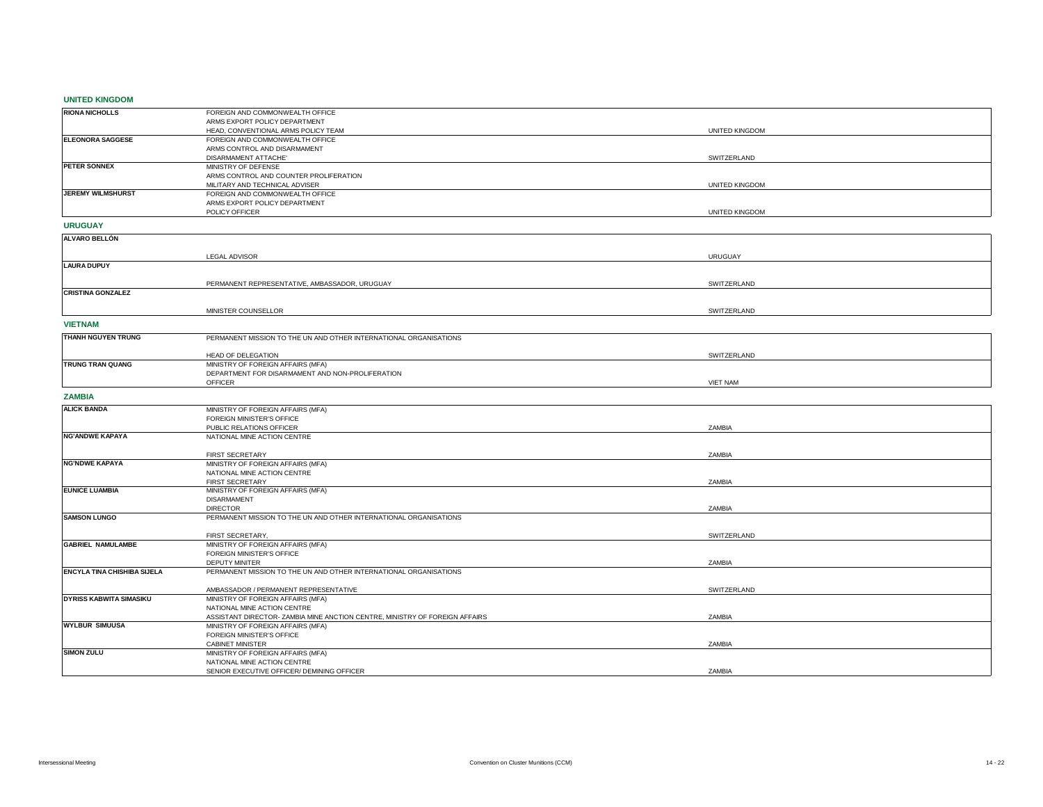## **UNITED KINGDOM**

| <b>RIONA NICHOLLS</b>              | FOREIGN AND COMMONWEALTH OFFICE                                             |                 |  |
|------------------------------------|-----------------------------------------------------------------------------|-----------------|--|
|                                    | ARMS EXPORT POLICY DEPARTMENT                                               |                 |  |
|                                    | HEAD, CONVENTIONAL ARMS POLICY TEAM                                         | UNITED KINGDOM  |  |
| <b>ELEONORA SAGGESE</b>            | FOREIGN AND COMMONWEALTH OFFICE                                             |                 |  |
|                                    | ARMS CONTROL AND DISARMAMENT                                                |                 |  |
|                                    | DISARMAMENT ATTACHE'                                                        | SWITZERLAND     |  |
| <b>PETER SONNEX</b>                | MINISTRY OF DEFENSE                                                         |                 |  |
|                                    | ARMS CONTROL AND COUNTER PROLIFERATION                                      |                 |  |
|                                    | MILITARY AND TECHNICAL ADVISER                                              | UNITED KINGDOM  |  |
| JEREMY WILMSHURST                  | FOREIGN AND COMMONWEALTH OFFICE                                             |                 |  |
|                                    |                                                                             |                 |  |
|                                    | ARMS EXPORT POLICY DEPARTMENT                                               |                 |  |
|                                    | POLICY OFFICER                                                              | UNITED KINGDOM  |  |
| <b>URUGUAY</b>                     |                                                                             |                 |  |
| <b>ALVARO BELLÓN</b>               |                                                                             |                 |  |
|                                    |                                                                             |                 |  |
|                                    | <b>LEGAL ADVISOR</b>                                                        | <b>URUGUAY</b>  |  |
| <b>LAURA DUPUY</b>                 |                                                                             |                 |  |
|                                    |                                                                             |                 |  |
|                                    | PERMANENT REPRESENTATIVE, AMBASSADOR, URUGUAY                               | SWITZERLAND     |  |
| <b>CRISTINA GONZALEZ</b>           |                                                                             |                 |  |
|                                    |                                                                             |                 |  |
|                                    | MINISTER COUNSELLOR                                                         |                 |  |
|                                    |                                                                             | SWITZERLAND     |  |
| <b>VIETNAM</b>                     |                                                                             |                 |  |
| THANH NGUYEN TRUNG                 | PERMANENT MISSION TO THE UN AND OTHER INTERNATIONAL ORGANISATIONS           |                 |  |
|                                    |                                                                             |                 |  |
|                                    |                                                                             |                 |  |
|                                    | HEAD OF DELEGATION                                                          | SWITZERLAND     |  |
| TRUNG TRAN QUANG                   | MINISTRY OF FOREIGN AFFAIRS (MFA)                                           |                 |  |
|                                    | DEPARTMENT FOR DISARMAMENT AND NON-PROLIFERATION                            |                 |  |
|                                    | OFFICER                                                                     | <b>VIET NAM</b> |  |
| <b>ZAMBIA</b>                      |                                                                             |                 |  |
| <b>ALICK BANDA</b>                 | MINISTRY OF FOREIGN AFFAIRS (MFA)                                           |                 |  |
|                                    |                                                                             |                 |  |
|                                    | FOREIGN MINISTER'S OFFICE                                                   | ZAMBIA          |  |
|                                    |                                                                             |                 |  |
|                                    | PUBLIC RELATIONS OFFICER                                                    |                 |  |
| <b>NG'ANDWE KAPAYA</b>             | NATIONAL MINE ACTION CENTRE                                                 |                 |  |
|                                    |                                                                             |                 |  |
|                                    | FIRST SECRETARY                                                             | ZAMBIA          |  |
| <b>NG'NDWE KAPAYA</b>              | MINISTRY OF FOREIGN AFFAIRS (MFA)                                           |                 |  |
|                                    | NATIONAL MINE ACTION CENTRE                                                 |                 |  |
|                                    | FIRST SECRETARY                                                             | ZAMBIA          |  |
| <b>EUNICE LUAMBIA</b>              | MINISTRY OF FOREIGN AFFAIRS (MFA)                                           |                 |  |
|                                    | <b>DISARMAMENT</b>                                                          |                 |  |
|                                    | <b>DIRECTOR</b>                                                             | ZAMBIA          |  |
| <b>SAMSON LUNGO</b>                | PERMANENT MISSION TO THE UN AND OTHER INTERNATIONAL ORGANISATIONS           |                 |  |
|                                    |                                                                             |                 |  |
|                                    | FIRST SECRETARY,                                                            | SWITZERLAND     |  |
| <b>GABRIEL NAMULAMBE</b>           | MINISTRY OF FOREIGN AFFAIRS (MFA)                                           |                 |  |
|                                    | FOREIGN MINISTER'S OFFICE                                                   |                 |  |
|                                    |                                                                             |                 |  |
| <b>ENCYLA TINA CHISHIBA SIJELA</b> | DEPUTY MINITER                                                              | ZAMBIA          |  |
|                                    | PERMANENT MISSION TO THE UN AND OTHER INTERNATIONAL ORGANISATIONS           |                 |  |
|                                    |                                                                             |                 |  |
|                                    | AMBASSADOR / PERMANENT REPRESENTATIVE                                       | SWITZERLAND     |  |
| DYRISS KABWITA SIMASIKU            | MINISTRY OF FOREIGN AFFAIRS (MFA)                                           |                 |  |
|                                    | NATIONAL MINE ACTION CENTRE                                                 |                 |  |
|                                    | ASSISTANT DIRECTOR- ZAMBIA MINE ANCTION CENTRE, MINISTRY OF FOREIGN AFFAIRS | ZAMBIA          |  |
| <b>WYLBUR SIMUUSA</b>              | MINISTRY OF FOREIGN AFFAIRS (MFA)                                           |                 |  |
|                                    | FOREIGN MINISTER'S OFFICE                                                   |                 |  |
|                                    | <b>CABINET MINISTER</b>                                                     | ZAMBIA          |  |
| <b>SIMON ZULU</b>                  | MINISTRY OF FOREIGN AFFAIRS (MFA)                                           |                 |  |
|                                    | NATIONAL MINE ACTION CENTRE<br>SENIOR EXECUTIVE OFFICER/ DEMINING OFFICER   | ZAMBIA          |  |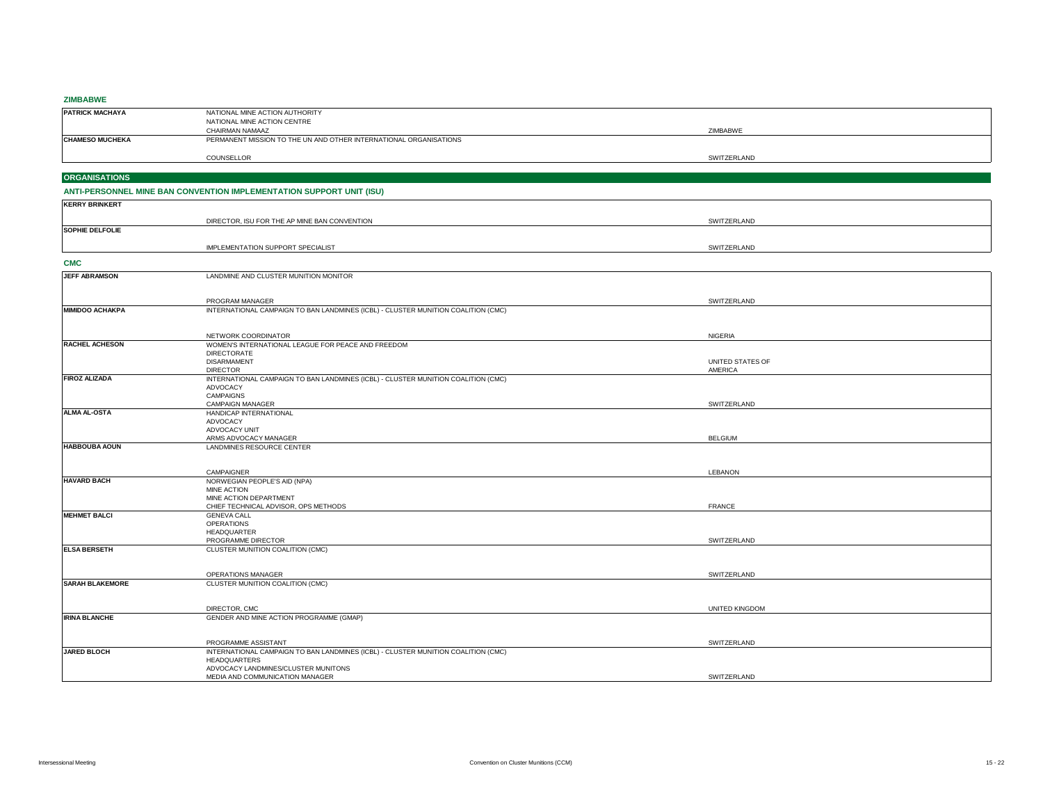## **ZIMBABWE**

| <b>PATRICK MACHAYA</b> | NATIONAL MINE ACTION AUTHORITY                                    |             |
|------------------------|-------------------------------------------------------------------|-------------|
|                        | NATIONAL MINE ACTION CENTRE                                       |             |
|                        | CHAIRMAN NAMAAZ                                                   | ZIMBABWE    |
| <b>CHAMESO MUCHEKA</b> | PERMANENT MISSION TO THE UN AND OTHER INTERNATIONAL ORGANISATIONS |             |
|                        |                                                                   |             |
|                        | COUNSELLOR                                                        | SWITZERLAND |

# **ORGANISATIONS**

## **ANTI-PERSONNEL MINE BAN CONVENTION IMPLEMENTATION SUPPORT UNIT (ISU)**

|                        | IMPLEMENTATION SUPPORT SPECIALIST            | SWITZERLAND |
|------------------------|----------------------------------------------|-------------|
| <b>SOPHIE DELFOLIE</b> |                                              |             |
|                        | DIRECTOR, ISU FOR THE AP MINE BAN CONVENTION | SWITZERLAND |
| <b>KERRY BRINKERT</b>  |                                              |             |

## **CMC**

| <b>JEFF ABRAMSON</b>   | LANDMINE AND CLUSTER MUNITION MONITOR                                             |                       |  |
|------------------------|-----------------------------------------------------------------------------------|-----------------------|--|
|                        |                                                                                   |                       |  |
|                        |                                                                                   |                       |  |
|                        | PROGRAM MANAGER                                                                   | SWITZERLAND           |  |
| <b>MIMIDOO ACHAKPA</b> | INTERNATIONAL CAMPAIGN TO BAN LANDMINES (ICBL) - CLUSTER MUNITION COALITION (CMC) |                       |  |
|                        |                                                                                   |                       |  |
|                        |                                                                                   |                       |  |
|                        | NETWORK COORDINATOR                                                               | NIGERIA               |  |
| <b>RACHEL ACHESON</b>  | WOMEN'S INTERNATIONAL LEAGUE FOR PEACE AND FREEDOM                                |                       |  |
|                        | <b>DIRECTORATE</b>                                                                |                       |  |
|                        | <b>DISARMAMENT</b>                                                                | UNITED STATES OF      |  |
|                        | <b>DIRECTOR</b>                                                                   | <b>AMERICA</b>        |  |
| <b>FIROZ ALIZADA</b>   | INTERNATIONAL CAMPAIGN TO BAN LANDMINES (ICBL) - CLUSTER MUNITION COALITION (CMC) |                       |  |
|                        | <b>ADVOCACY</b>                                                                   |                       |  |
|                        | <b>CAMPAIGNS</b>                                                                  |                       |  |
|                        | <b>CAMPAIGN MANAGER</b>                                                           | SWITZERLAND           |  |
| <b>ALMA AL-OSTA</b>    | HANDICAP INTERNATIONAL                                                            |                       |  |
|                        | ADVOCACY                                                                          |                       |  |
|                        | ADVOCACY UNIT                                                                     |                       |  |
|                        | ARMS ADVOCACY MANAGER                                                             | <b>BELGIUM</b>        |  |
| <b>HABBOUBA AOUN</b>   | LANDMINES RESOURCE CENTER                                                         |                       |  |
|                        |                                                                                   |                       |  |
|                        | CAMPAIGNER                                                                        | <b>LEBANON</b>        |  |
| <b>HAVARD BACH</b>     | NORWEGIAN PEOPLE'S AID (NPA)                                                      |                       |  |
|                        | <b>MINE ACTION</b>                                                                |                       |  |
|                        | MINE ACTION DEPARTMENT                                                            |                       |  |
|                        | CHIEF TECHNICAL ADVISOR, OPS METHODS                                              | <b>FRANCE</b>         |  |
| <b>MEHMET BALCI</b>    | <b>GENEVA CALL</b>                                                                |                       |  |
|                        | <b>OPERATIONS</b>                                                                 |                       |  |
|                        | <b>HEADQUARTER</b>                                                                |                       |  |
|                        | PROGRAMME DIRECTOR                                                                | SWITZERLAND           |  |
| <b>ELSA BERSETH</b>    | CLUSTER MUNITION COALITION (CMC)                                                  |                       |  |
|                        |                                                                                   |                       |  |
|                        |                                                                                   |                       |  |
|                        | OPERATIONS MANAGER                                                                | SWITZERLAND           |  |
| <b>SARAH BLAKEMORE</b> | CLUSTER MUNITION COALITION (CMC)                                                  |                       |  |
|                        |                                                                                   |                       |  |
|                        |                                                                                   |                       |  |
|                        | DIRECTOR, CMC                                                                     | <b>UNITED KINGDOM</b> |  |
| <b>IRINA BLANCHE</b>   | GENDER AND MINE ACTION PROGRAMME (GMAP)                                           |                       |  |
|                        |                                                                                   |                       |  |
|                        |                                                                                   |                       |  |
|                        | PROGRAMME ASSISTANT                                                               | SWITZERLAND           |  |
| JARED BLOCH            | INTERNATIONAL CAMPAIGN TO BAN LANDMINES (ICBL) - CLUSTER MUNITION COALITION (CMC) |                       |  |
|                        | <b>HEADQUARTERS</b>                                                               |                       |  |
|                        | ADVOCACY LANDMINES/CLUSTER MUNITONS                                               |                       |  |
|                        | MEDIA AND COMMUNICATION MANAGER                                                   | SWITZERLAND           |  |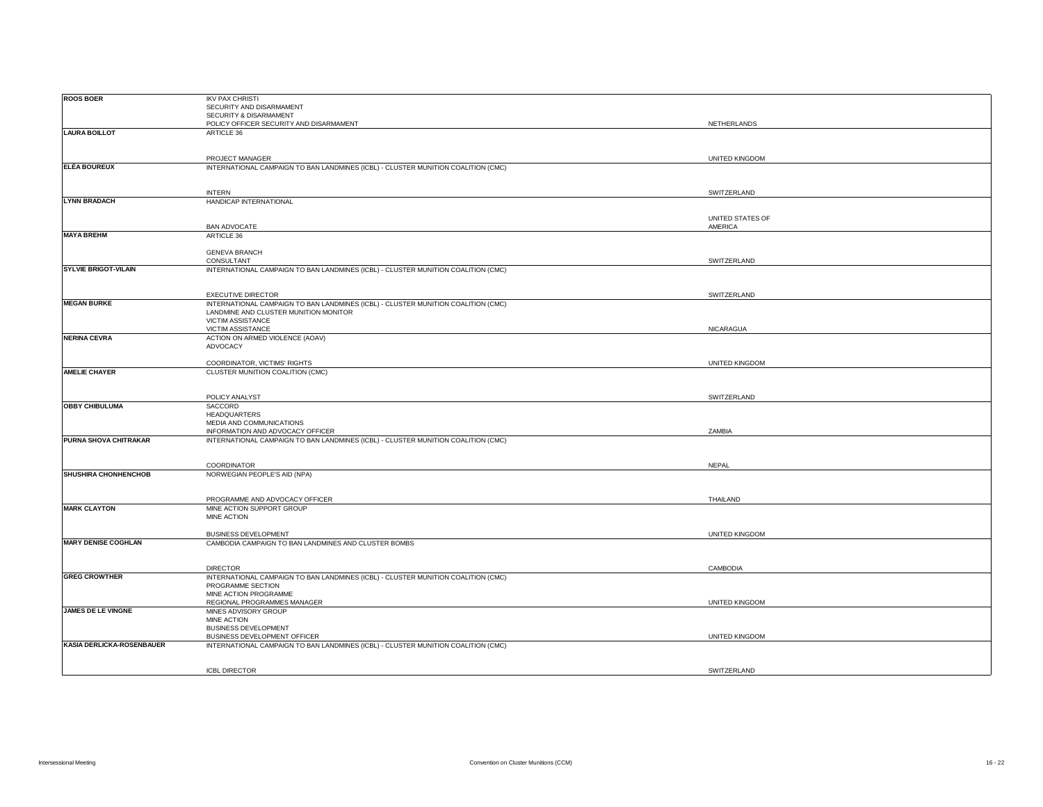| <b>ROOS BOER</b>            |                                                                                   |                       |  |
|-----------------------------|-----------------------------------------------------------------------------------|-----------------------|--|
|                             | <b>IKV PAX CHRISTI</b>                                                            |                       |  |
|                             | SECURITY AND DISARMAMENT                                                          |                       |  |
|                             | SECURITY & DISARMAMENT                                                            |                       |  |
|                             |                                                                                   |                       |  |
|                             | POLICY OFFICER SECURITY AND DISARMAMENT                                           | NETHERLANDS           |  |
| <b>LAURA BOILLOT</b>        | ARTICLE 36                                                                        |                       |  |
|                             |                                                                                   |                       |  |
|                             |                                                                                   |                       |  |
|                             | PROJECT MANAGER                                                                   | UNITED KINGDOM        |  |
| <b>ELÉA BOUREUX</b>         | INTERNATIONAL CAMPAIGN TO BAN LANDMINES (ICBL) - CLUSTER MUNITION COALITION (CMC) |                       |  |
|                             |                                                                                   |                       |  |
|                             |                                                                                   |                       |  |
|                             | <b>INTERN</b>                                                                     | SWITZERLAND           |  |
|                             |                                                                                   |                       |  |
| <b>LYNN BRADACH</b>         | HANDICAP INTERNATIONAL                                                            |                       |  |
|                             |                                                                                   |                       |  |
|                             |                                                                                   | UNITED STATES OF      |  |
|                             | <b>BAN ADVOCATE</b>                                                               | AMERICA               |  |
| <b>MAYA BREHM</b>           | ARTICLE 36                                                                        |                       |  |
|                             |                                                                                   |                       |  |
|                             | <b>GENEVA BRANCH</b>                                                              |                       |  |
|                             | CONSULTANT                                                                        | SWITZERLAND           |  |
| <b>SYLVIE BRIGOT-VILAIN</b> |                                                                                   |                       |  |
|                             | INTERNATIONAL CAMPAIGN TO BAN LANDMINES (ICBL) - CLUSTER MUNITION COALITION (CMC) |                       |  |
|                             |                                                                                   |                       |  |
|                             |                                                                                   |                       |  |
|                             | <b>EXECUTIVE DIRECTOR</b>                                                         | SWITZERLAND           |  |
| <b>MEGAN BURKE</b>          | INTERNATIONAL CAMPAIGN TO BAN LANDMINES (ICBL) - CLUSTER MUNITION COALITION (CMC) |                       |  |
|                             | LANDMINE AND CLUSTER MUNITION MONITOR                                             |                       |  |
|                             | VICTIM ASSISTANCE                                                                 |                       |  |
|                             | VICTIM ASSISTANCE                                                                 | NICARAGUA             |  |
| <b>NERINA CEVRA</b>         | ACTION ON ARMED VIOLENCE (AOAV)                                                   |                       |  |
|                             |                                                                                   |                       |  |
|                             | ADVOCACY                                                                          |                       |  |
|                             |                                                                                   |                       |  |
|                             | COORDINATOR, VICTIMS' RIGHTS                                                      | UNITED KINGDOM        |  |
| <b>AMELIE CHAYER</b>        | CLUSTER MUNITION COALITION (CMC)                                                  |                       |  |
|                             |                                                                                   |                       |  |
|                             |                                                                                   |                       |  |
|                             | POLICY ANALYST                                                                    | SWITZERLAND           |  |
| <b>OBBY CHIBULUMA</b>       | SACCORD                                                                           |                       |  |
|                             | HEADQUARTERS                                                                      |                       |  |
|                             |                                                                                   |                       |  |
|                             | MEDIA AND COMMUNICATIONS                                                          |                       |  |
|                             | INFORMATION AND ADVOCACY OFFICER                                                  | ZAMBIA                |  |
| PURNA SHOVA CHITRAKAR       | INTERNATIONAL CAMPAIGN TO BAN LANDMINES (ICBL) - CLUSTER MUNITION COALITION (CMC) |                       |  |
|                             |                                                                                   |                       |  |
|                             |                                                                                   |                       |  |
|                             |                                                                                   |                       |  |
|                             |                                                                                   |                       |  |
|                             | COORDINATOR                                                                       | <b>NEPAL</b>          |  |
| SHUSHIRA CHONHENCHOB        | NORWEGIAN PEOPLE'S AID (NPA)                                                      |                       |  |
|                             |                                                                                   |                       |  |
|                             |                                                                                   |                       |  |
|                             | PROGRAMME AND ADVOCACY OFFICER                                                    | THAILAND              |  |
| <b>MARK CLAYTON</b>         | MINE ACTION SUPPORT GROUP                                                         |                       |  |
|                             | MINE ACTION                                                                       |                       |  |
|                             |                                                                                   |                       |  |
|                             | <b>BUSINESS DEVELOPMENT</b>                                                       | UNITED KINGDOM        |  |
| <b>MARY DENISE COGHLAN</b>  |                                                                                   |                       |  |
|                             | CAMBODIA CAMPAIGN TO BAN LANDMINES AND CLUSTER BOMBS                              |                       |  |
|                             |                                                                                   |                       |  |
|                             |                                                                                   |                       |  |
|                             | <b>DIRECTOR</b>                                                                   | CAMBODIA              |  |
| <b>GREG CROWTHER</b>        | INTERNATIONAL CAMPAIGN TO BAN LANDMINES (ICBL) - CLUSTER MUNITION COALITION (CMC) |                       |  |
|                             | PROGRAMME SECTION                                                                 |                       |  |
|                             | MINE ACTION PROGRAMME                                                             |                       |  |
|                             | REGIONAL PROGRAMMES MANAGER                                                       | <b>UNITED KINGDOM</b> |  |
| JAMES DE LE VINGNE          | MINES ADVISORY GROUP                                                              |                       |  |
|                             | MINE ACTION                                                                       |                       |  |
|                             | <b>BUSINESS DEVELOPMENT</b>                                                       |                       |  |
|                             |                                                                                   |                       |  |
|                             | BUSINESS DEVELOPMENT OFFICER                                                      | UNITED KINGDOM        |  |
| KASIA DERLICKA-ROSENBAUER   | INTERNATIONAL CAMPAIGN TO BAN LANDMINES (ICBL) - CLUSTER MUNITION COALITION (CMC) |                       |  |
|                             |                                                                                   |                       |  |
|                             |                                                                                   |                       |  |
|                             | <b>ICBL DIRECTOR</b>                                                              | SWITZERLAND           |  |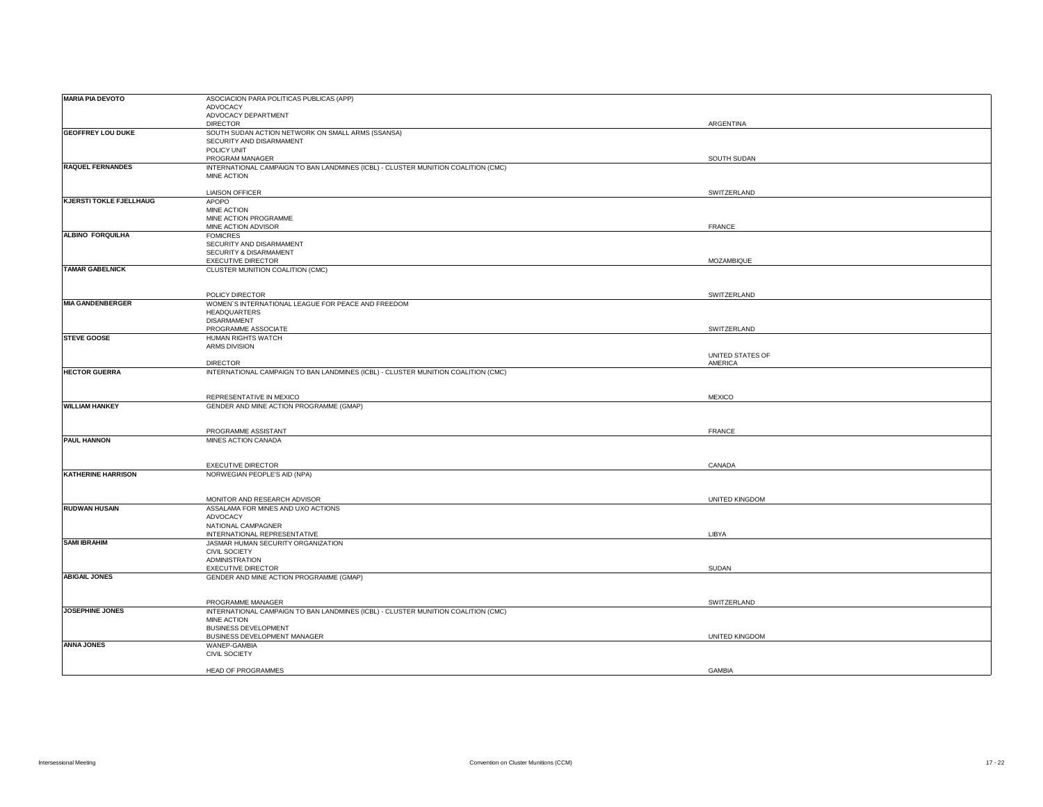| <b>MARIA PIA DEVOTO</b>        | ASOCIACION PARA POLITICAS PUBLICAS (APP)                                          |                  |  |
|--------------------------------|-----------------------------------------------------------------------------------|------------------|--|
|                                | ADVOCACY                                                                          |                  |  |
|                                |                                                                                   |                  |  |
|                                | ADVOCACY DEPARTMENT                                                               |                  |  |
|                                | <b>DIRECTOR</b>                                                                   | ARGENTINA        |  |
| <b>GEOFFREY LOU DUKE</b>       | SOUTH SUDAN ACTION NETWORK ON SMALL ARMS (SSANSA)                                 |                  |  |
|                                | SECURITY AND DISARMAMENT                                                          |                  |  |
|                                | POLICY UNIT                                                                       |                  |  |
|                                | PROGRAM MANAGER                                                                   | SOUTH SUDAN      |  |
|                                |                                                                                   |                  |  |
| <b>RAQUEL FERNANDES</b>        | INTERNATIONAL CAMPAIGN TO BAN LANDMINES (ICBL) - CLUSTER MUNITION COALITION (CMC) |                  |  |
|                                | MINE ACTION                                                                       |                  |  |
|                                |                                                                                   |                  |  |
|                                | <b>LIAISON OFFICER</b>                                                            | SWITZERLAND      |  |
| <b>KJERSTI TOKLE FJELLHAUG</b> | APOPO                                                                             |                  |  |
|                                |                                                                                   |                  |  |
|                                | MINE ACTION                                                                       |                  |  |
|                                | MINE ACTION PROGRAMME                                                             |                  |  |
|                                | MINE ACTION ADVISOR                                                               | FRANCE           |  |
| ALBINO FORQUILHA               | <b>FOMICRES</b>                                                                   |                  |  |
|                                | SECURITY AND DISARMAMENT                                                          |                  |  |
|                                | SECURITY & DISARMAMENT                                                            |                  |  |
|                                |                                                                                   |                  |  |
|                                | <b>EXECUTIVE DIRECTOR</b>                                                         | MOZAMBIQUE       |  |
| <b>TAMAR GABELNICK</b>         | CLUSTER MUNITION COALITION (CMC)                                                  |                  |  |
|                                |                                                                                   |                  |  |
|                                |                                                                                   |                  |  |
|                                | POLICY DIRECTOR                                                                   | SWITZERLAND      |  |
| <b>MIA GANDENBERGER</b>        | WOMEN'S INTERNATIONAL LEAGUE FOR PEACE AND FREEDOM                                |                  |  |
|                                |                                                                                   |                  |  |
|                                | HEADQUARTERS                                                                      |                  |  |
|                                | <b>DISARMAMENT</b>                                                                |                  |  |
|                                | PROGRAMME ASSOCIATE                                                               | SWITZERLAND      |  |
| <b>STEVE GOOSE</b>             | HUMAN RIGHTS WATCH                                                                |                  |  |
|                                | ARMS DIVISION                                                                     |                  |  |
|                                |                                                                                   | UNITED STATES OF |  |
|                                |                                                                                   |                  |  |
|                                | <b>DIRECTOR</b>                                                                   | AMERICA          |  |
| <b>HECTOR GUERRA</b>           | INTERNATIONAL CAMPAIGN TO BAN LANDMINES (ICBL) - CLUSTER MUNITION COALITION (CMC) |                  |  |
|                                |                                                                                   |                  |  |
|                                |                                                                                   |                  |  |
|                                | REPRESENTATIVE IN MEXICO                                                          | <b>MEXICO</b>    |  |
| <b>WILLIAM HANKEY</b>          | GENDER AND MINE ACTION PROGRAMME (GMAP)                                           |                  |  |
|                                |                                                                                   |                  |  |
|                                |                                                                                   |                  |  |
|                                |                                                                                   |                  |  |
|                                |                                                                                   |                  |  |
|                                | PROGRAMME ASSISTANT                                                               | FRANCE           |  |
| <b>PAUL HANNON</b>             | MINES ACTION CANADA                                                               |                  |  |
|                                |                                                                                   |                  |  |
|                                |                                                                                   |                  |  |
|                                |                                                                                   |                  |  |
|                                | <b>EXECUTIVE DIRECTOR</b>                                                         | CANADA           |  |
| <b>KATHERINE HARRISON</b>      | NORWEGIAN PEOPLE'S AID (NPA)                                                      |                  |  |
|                                |                                                                                   |                  |  |
|                                |                                                                                   |                  |  |
|                                |                                                                                   |                  |  |
|                                | MONITOR AND RESEARCH ADVISOR                                                      | UNITED KINGDOM   |  |
| <b>RUDWAN HUSAIN</b>           | ASSALAMA FOR MINES AND UXO ACTIONS                                                |                  |  |
|                                | ADVOCACY                                                                          |                  |  |
|                                | NATIONAL CAMPAGNER                                                                |                  |  |
|                                | INTERNATIONAL REPRESENTATIVE                                                      | LIBYA            |  |
| <b>SAMI IBRAHIM</b>            | JASMAR HUMAN SECURITY ORGANIZATION                                                |                  |  |
|                                |                                                                                   |                  |  |
|                                | <b>CIVIL SOCIETY</b>                                                              |                  |  |
|                                | <b>ADMINISTRATION</b>                                                             |                  |  |
|                                | <b>EXECUTIVE DIRECTOR</b>                                                         | SUDAN            |  |
| <b>ABIGAIL JONES</b>           | GENDER AND MINE ACTION PROGRAMME (GMAP)                                           |                  |  |
|                                |                                                                                   |                  |  |
|                                |                                                                                   |                  |  |
|                                |                                                                                   |                  |  |
|                                | PROGRAMME MANAGER                                                                 | SWITZERLAND      |  |
| JOSEPHINE JONES                | INTERNATIONAL CAMPAIGN TO BAN LANDMINES (ICBL) - CLUSTER MUNITION COALITION (CMC) |                  |  |
|                                | MINE ACTION                                                                       |                  |  |
|                                | <b>BUSINESS DEVELOPMENT</b>                                                       |                  |  |
|                                | BUSINESS DEVELOPMENT MANAGER                                                      | UNITED KINGDOM   |  |
|                                | WANEP-GAMBIA                                                                      |                  |  |
| <b>ANNA JONES</b>              |                                                                                   |                  |  |
|                                | CIVIL SOCIETY                                                                     |                  |  |
|                                | HEAD OF PROGRAMMES                                                                | <b>GAMBIA</b>    |  |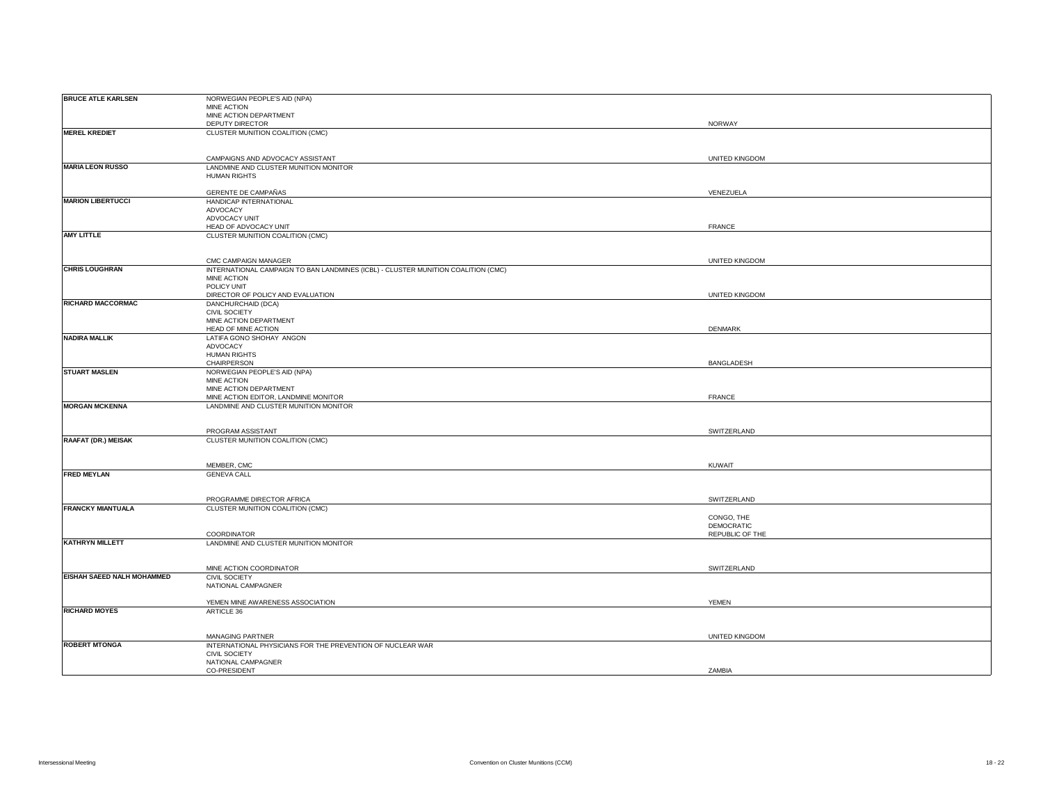| <b>BRUCE ATLE KARLSEN</b>  | NORWEGIAN PEOPLE'S AID (NPA)                                                      |                          |
|----------------------------|-----------------------------------------------------------------------------------|--------------------------|
|                            | MINE ACTION                                                                       |                          |
|                            | MINE ACTION DEPARTMENT                                                            |                          |
|                            | DEPUTY DIRECTOR                                                                   | NORWAY                   |
| <b>MEREL KREDIET</b>       | CLUSTER MUNITION COALITION (CMC)                                                  |                          |
|                            |                                                                                   |                          |
|                            |                                                                                   |                          |
|                            | CAMPAIGNS AND ADVOCACY ASSISTANT                                                  | UNITED KINGDOM           |
| <b>MARIA LEON RUSSO</b>    |                                                                                   |                          |
|                            | LANDMINE AND CLUSTER MUNITION MONITOR                                             |                          |
|                            | <b>HUMAN RIGHTS</b>                                                               |                          |
|                            | GERENTE DE CAMPAÑAS                                                               | VENEZUELA                |
| <b>MARION LIBERTUCCI</b>   |                                                                                   |                          |
|                            | HANDICAP INTERNATIONAL                                                            |                          |
|                            | ADVOCACY                                                                          |                          |
|                            | ADVOCACY UNIT                                                                     | <b>FRANCE</b>            |
| <b>AMY LITTLE</b>          | HEAD OF ADVOCACY UNIT                                                             |                          |
|                            | CLUSTER MUNITION COALITION (CMC)                                                  |                          |
|                            |                                                                                   |                          |
|                            |                                                                                   |                          |
|                            | CMC CAMPAIGN MANAGER                                                              | UNITED KINGDOM           |
| <b>CHRIS LOUGHRAN</b>      | INTERNATIONAL CAMPAIGN TO BAN LANDMINES (ICBL) - CLUSTER MUNITION COALITION (CMC) |                          |
|                            | MINE ACTION                                                                       |                          |
|                            | POLICY UNIT                                                                       |                          |
| <b>RICHARD MACCORMAC</b>   | DIRECTOR OF POLICY AND EVALUATION                                                 | UNITED KINGDOM           |
|                            | DANCHURCHAID (DCA)                                                                |                          |
|                            | CIVIL SOCIETY                                                                     |                          |
|                            | MINE ACTION DEPARTMENT                                                            |                          |
|                            | HEAD OF MINE ACTION                                                               | DENMARK                  |
| <b>NADIRA MALLIK</b>       | LATIFA GONO SHOHAY ANGON                                                          |                          |
|                            | ADVOCACY                                                                          |                          |
|                            | <b>HUMAN RIGHTS</b>                                                               |                          |
|                            | CHAIRPERSON                                                                       | BANGLADESH               |
| <b>STUART MASLEN</b>       | NORWEGIAN PEOPLE'S AID (NPA)                                                      |                          |
|                            | MINE ACTION<br>MINE ACTION DEPARTMENT                                             |                          |
|                            | MINE ACTION EDITOR, LANDMINE MONITOR                                              | <b>FRANCE</b>            |
| <b>MORGAN MCKENNA</b>      | LANDMINE AND CLUSTER MUNITION MONITOR                                             |                          |
|                            |                                                                                   |                          |
|                            |                                                                                   |                          |
|                            | PROGRAM ASSISTANT                                                                 | SWITZERLAND              |
| RAAFAT (DR.) MEISAK        | CLUSTER MUNITION COALITION (CMC)                                                  |                          |
|                            |                                                                                   |                          |
|                            |                                                                                   |                          |
|                            | MEMBER, CMC                                                                       | <b>KUWAIT</b>            |
| <b>FRED MEYLAN</b>         |                                                                                   |                          |
|                            | <b>GENEVA CALL</b>                                                                |                          |
|                            |                                                                                   |                          |
|                            | PROGRAMME DIRECTOR AFRICA                                                         | SWITZERLAND              |
| <b>FRANCKY MIANTUALA</b>   |                                                                                   |                          |
|                            | CLUSTER MUNITION COALITION (CMC)                                                  |                          |
|                            |                                                                                   | CONGO, THE<br>DEMOCRATIC |
|                            | COORDINATOR                                                                       | REPUBLIC OF THE          |
| <b>KATHRYN MILLETT</b>     | LANDMINE AND CLUSTER MUNITION MONITOR                                             |                          |
|                            |                                                                                   |                          |
|                            |                                                                                   |                          |
|                            | MINE ACTION COORDINATOR                                                           | SWITZERLAND              |
| EISHAH SAEED NALH MOHAMMED | <b>CIVIL SOCIETY</b>                                                              |                          |
|                            | NATIONAL CAMPAGNER                                                                |                          |
|                            |                                                                                   |                          |
|                            | YEMEN MINE AWARENESS ASSOCIATION                                                  | <b>YEMEN</b>             |
| <b>RICHARD MOYES</b>       | ARTICLE 36                                                                        |                          |
|                            |                                                                                   |                          |
|                            |                                                                                   |                          |
|                            | <b>MANAGING PARTNER</b>                                                           | UNITED KINGDOM           |
| <b>ROBERT MTONGA</b>       | INTERNATIONAL PHYSICIANS FOR THE PREVENTION OF NUCLEAR WAR                        |                          |
|                            | <b>CIVIL SOCIETY</b>                                                              |                          |
|                            | NATIONAL CAMPAGNER                                                                |                          |
|                            | CO-PRESIDENT                                                                      | ZAMBIA                   |
|                            |                                                                                   |                          |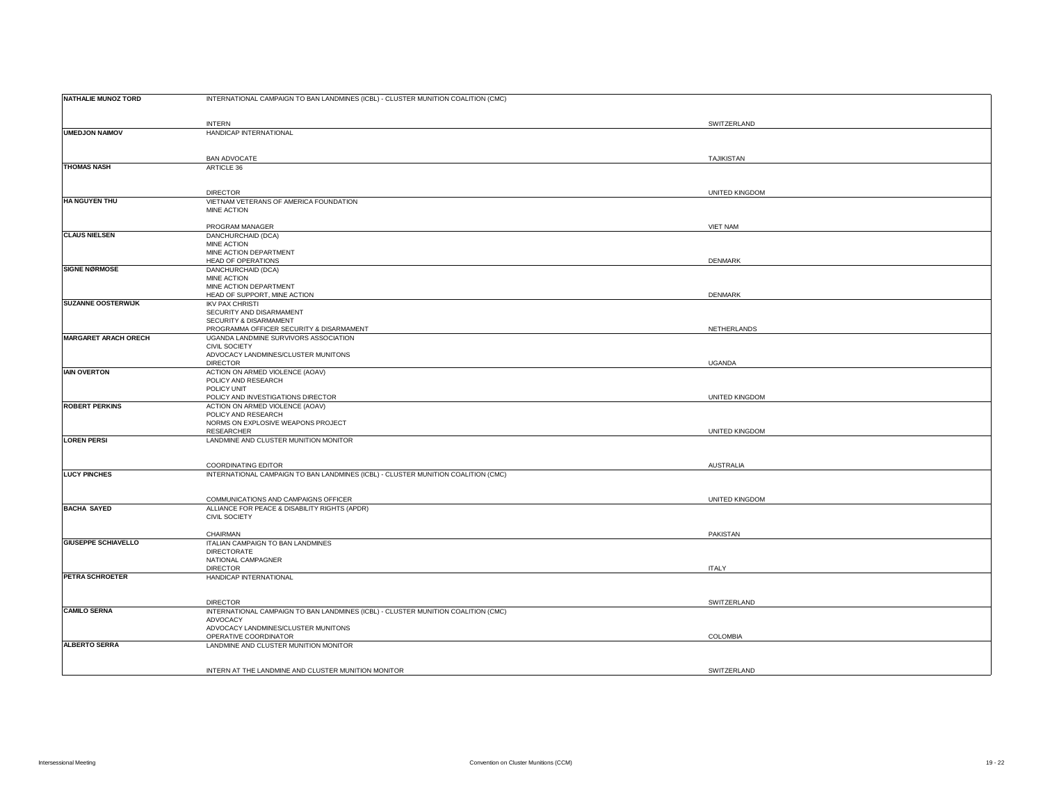| <b>NATHALIE MUNOZ TORD</b>  | INTERNATIONAL CAMPAIGN TO BAN LANDMINES (ICBL) - CLUSTER MUNITION COALITION (CMC) |                 |
|-----------------------------|-----------------------------------------------------------------------------------|-----------------|
|                             |                                                                                   |                 |
| <b>UMEDJON NAIMOV</b>       | <b>INTERN</b><br>HANDICAP INTERNATIONAL                                           | SWITZERLAND     |
|                             |                                                                                   |                 |
|                             | <b>BAN ADVOCATE</b>                                                               | TAJIKISTAN      |
| <b>THOMAS NASH</b>          | ARTICLE 36                                                                        |                 |
|                             |                                                                                   |                 |
|                             | <b>DIRECTOR</b>                                                                   | UNITED KINGDOM  |
| <b>HA NGUYEN THU</b>        | VIETNAM VETERANS OF AMERICA FOUNDATION                                            |                 |
|                             | MINE ACTION                                                                       |                 |
|                             | PROGRAM MANAGER                                                                   | <b>VIET NAM</b> |
| <b>CLAUS NIELSEN</b>        | DANCHURCHAID (DCA)<br>MINE ACTION                                                 |                 |
|                             | MINE ACTION DEPARTMENT                                                            |                 |
| <b>SIGNE NØRMOSE</b>        | <b>HEAD OF OPERATIONS</b><br>DANCHURCHAID (DCA)                                   | <b>DENMARK</b>  |
|                             | MINE ACTION                                                                       |                 |
|                             | MINE ACTION DEPARTMENT<br>HEAD OF SUPPORT, MINE ACTION                            | DENMARK         |
| <b>SUZANNE OOSTERWIJK</b>   | <b>IKV PAX CHRISTI</b>                                                            |                 |
|                             | SECURITY AND DISARMAMENT                                                          |                 |
|                             | SECURITY & DISARMAMENT<br>PROGRAMMA OFFICER SECURITY & DISARMAMENT                | NETHERLANDS     |
| <b>MARGARET ARACH ORECH</b> | UGANDA LANDMINE SURVIVORS ASSOCIATION                                             |                 |
|                             | CIVIL SOCIETY<br>ADVOCACY LANDMINES/CLUSTER MUNITONS                              |                 |
|                             | <b>DIRECTOR</b>                                                                   | <b>UGANDA</b>   |
| <b>IAIN OVERTON</b>         | ACTION ON ARMED VIOLENCE (AOAV)<br>POLICY AND RESEARCH                            |                 |
|                             | POLICY UNIT                                                                       |                 |
| <b>ROBERT PERKINS</b>       | POLICY AND INVESTIGATIONS DIRECTOR<br>ACTION ON ARMED VIOLENCE (AOAV)             | UNITED KINGDOM  |
|                             | POLICY AND RESEARCH                                                               |                 |
|                             | NORMS ON EXPLOSIVE WEAPONS PROJECT<br>RESEARCHER                                  | UNITED KINGDOM  |
| <b>LOREN PERSI</b>          | LANDMINE AND CLUSTER MUNITION MONITOR                                             |                 |
|                             |                                                                                   |                 |
|                             | COORDINATING EDITOR                                                               | AUSTRALIA       |
| <b>LUCY PINCHES</b>         | INTERNATIONAL CAMPAIGN TO BAN LANDMINES (ICBL) - CLUSTER MUNITION COALITION (CMC) |                 |
|                             |                                                                                   |                 |
|                             | COMMUNICATIONS AND CAMPAIGNS OFFICER                                              | UNITED KINGDOM  |
| <b>BACHA SAYED</b>          | ALLIANCE FOR PEACE & DISABILITY RIGHTS (APDR)<br><b>CIVIL SOCIETY</b>             |                 |
|                             |                                                                                   |                 |
| <b>GIUSEPPE SCHIAVELLO</b>  | CHAIRMAN<br>ITALIAN CAMPAIGN TO BAN LANDMINES                                     | PAKISTAN        |
|                             | DIRECTORATE                                                                       |                 |
|                             | NATIONAL CAMPAGNER<br><b>DIRECTOR</b>                                             | <b>ITALY</b>    |
| PETRA SCHROETER             | HANDICAP INTERNATIONAL                                                            |                 |
|                             |                                                                                   |                 |
|                             | <b>DIRECTOR</b>                                                                   | SWITZERLAND     |
| <b>CAMILO SERNA</b>         | INTERNATIONAL CAMPAIGN TO BAN LANDMINES (ICBL) - CLUSTER MUNITION COALITION (CMC) |                 |
|                             | ADVOCACY<br>ADVOCACY LANDMINES/CLUSTER MUNITONS                                   |                 |
|                             | OPERATIVE COORDINATOR                                                             | COLOMBIA        |
| <b>ALBERTO SERRA</b>        | LANDMINE AND CLUSTER MUNITION MONITOR                                             |                 |
|                             |                                                                                   |                 |
|                             | INTERN AT THE LANDMINE AND CLUSTER MUNITION MONITOR                               | SWITZERLAND     |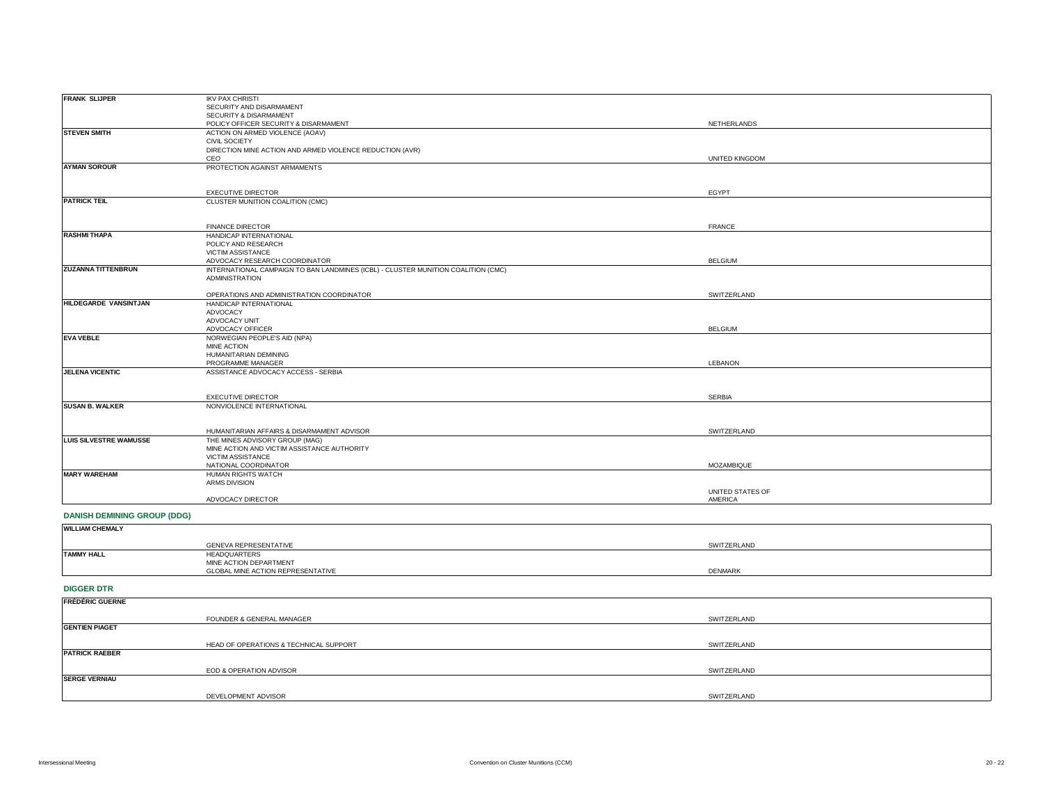| <b>FRANK SLIJPER</b>               | <b>IKV PAX CHRISTI</b>                                                            |                       |
|------------------------------------|-----------------------------------------------------------------------------------|-----------------------|
|                                    | SECURITY AND DISARMAMENT                                                          |                       |
|                                    | SECURITY & DISARMAMENT                                                            |                       |
|                                    | POLICY OFFICER SECURITY & DISARMAMENT                                             | NETHERLANDS           |
| <b>STEVEN SMITH</b>                | ACTION ON ARMED VIOLENCE (AOAV)                                                   |                       |
|                                    | CIVIL SOCIETY                                                                     |                       |
|                                    | DIRECTION MINE ACTION AND ARMED VIOLENCE REDUCTION (AVR)                          |                       |
|                                    | CEO                                                                               | <b>UNITED KINGDOM</b> |
| <b>AYMAN SOROUR</b>                | PROTECTION AGAINST ARMAMENTS                                                      |                       |
|                                    |                                                                                   |                       |
|                                    |                                                                                   |                       |
|                                    | <b>EXECUTIVE DIRECTOR</b>                                                         |                       |
| <b>PATRICK TEIL</b>                |                                                                                   | EGYPT                 |
|                                    | CLUSTER MUNITION COALITION (CMC)                                                  |                       |
|                                    |                                                                                   |                       |
|                                    | <b>FINANCE DIRECTOR</b>                                                           | <b>FRANCE</b>         |
| <b>RASHMI THAPA</b>                | HANDICAP INTERNATIONAL                                                            |                       |
|                                    | POLICY AND RESEARCH                                                               |                       |
|                                    |                                                                                   |                       |
|                                    | VICTIM ASSISTANCE                                                                 |                       |
|                                    | ADVOCACY RESEARCH COORDINATOR                                                     | <b>BELGIUM</b>        |
| ZUZANNA TITTENBRUN                 | INTERNATIONAL CAMPAIGN TO BAN LANDMINES (ICBL) - CLUSTER MUNITION COALITION (CMC) |                       |
|                                    | <b>ADMINISTRATION</b>                                                             |                       |
|                                    | OPERATIONS AND ADMINISTRATION COORDINATOR                                         | SWITZERLAND           |
| HILDEGARDE VANSINTJAN              | HANDICAP INTERNATIONAL                                                            |                       |
|                                    | ADVOCACY                                                                          |                       |
|                                    |                                                                                   |                       |
|                                    | ADVOCACY UNIT                                                                     |                       |
| <b>EVA VEBLE</b>                   | ADVOCACY OFFICER                                                                  | <b>BELGIUM</b>        |
|                                    | NORWEGIAN PEOPLE'S AID (NPA)                                                      |                       |
|                                    | MINE ACTION<br>HUMANITARIAN DEMINING                                              |                       |
|                                    | PROGRAMME MANAGER                                                                 | LEBANON               |
|                                    |                                                                                   |                       |
| <b>JELENA VICENTIC</b>             | ASSISTANCE ADVOCACY ACCESS - SERBIA                                               |                       |
|                                    |                                                                                   |                       |
|                                    | <b>EXECUTIVE DIRECTOR</b>                                                         | <b>SERBIA</b>         |
| <b>SUSAN B. WALKER</b>             | NONVIOLENCE INTERNATIONAL                                                         |                       |
|                                    |                                                                                   |                       |
|                                    |                                                                                   |                       |
|                                    | HUMANITARIAN AFFAIRS & DISARMAMENT ADVISOR                                        | SWITZERLAND           |
| <b>LUIS SILVESTRE WAMUSSE</b>      | THE MINES ADVISORY GROUP (MAG)                                                    |                       |
|                                    | MINE ACTION AND VICTIM ASSISTANCE AUTHORITY                                       |                       |
|                                    | VICTIM ASSISTANCE                                                                 |                       |
|                                    | NATIONAL COORDINATOR                                                              | MOZAMBIQUE            |
| <b>MARY WAREHAM</b>                | HUMAN RIGHTS WATCH                                                                |                       |
|                                    | ARMS DIVISION                                                                     |                       |
|                                    |                                                                                   | UNITED STATES OF      |
|                                    | ADVOCACY DIRECTOR                                                                 | AMERICA               |
|                                    |                                                                                   |                       |
| <b>DANISH DEMINING GROUP (DDG)</b> |                                                                                   |                       |
| <b>WILLIAM CHEMALY</b>             |                                                                                   |                       |
|                                    |                                                                                   |                       |
|                                    | <b>GENEVA REPRESENTATIVE</b>                                                      | SWITZERLAND           |
| <b>TAMMY HALL</b>                  | HEADQUARTERS                                                                      |                       |
|                                    | MINE ACTION DEPARTMENT                                                            |                       |
|                                    | GLOBAL MINE ACTION REPRESENTATIVE                                                 | DENMARK               |
|                                    |                                                                                   |                       |
| <b>DIGGER DTR</b>                  |                                                                                   |                       |
|                                    |                                                                                   |                       |
| <b>FRÉDÉRIC GUERNE</b>             |                                                                                   |                       |
|                                    |                                                                                   |                       |
|                                    | FOUNDER & GENERAL MANAGER                                                         | SWITZERLAND           |
| <b>GENTIEN PIAGET</b>              |                                                                                   |                       |
|                                    |                                                                                   |                       |
|                                    | HEAD OF OPERATIONS & TECHNICAL SUPPORT                                            | SWITZERLAND           |
| <b>PATRICK RAEBER</b>              |                                                                                   |                       |

**SERGE VERNIAU**

DEVELOPMENT ADVISOR

EOD & OPERATION ADVISOR

SWITZERLAND

SWITZERLAND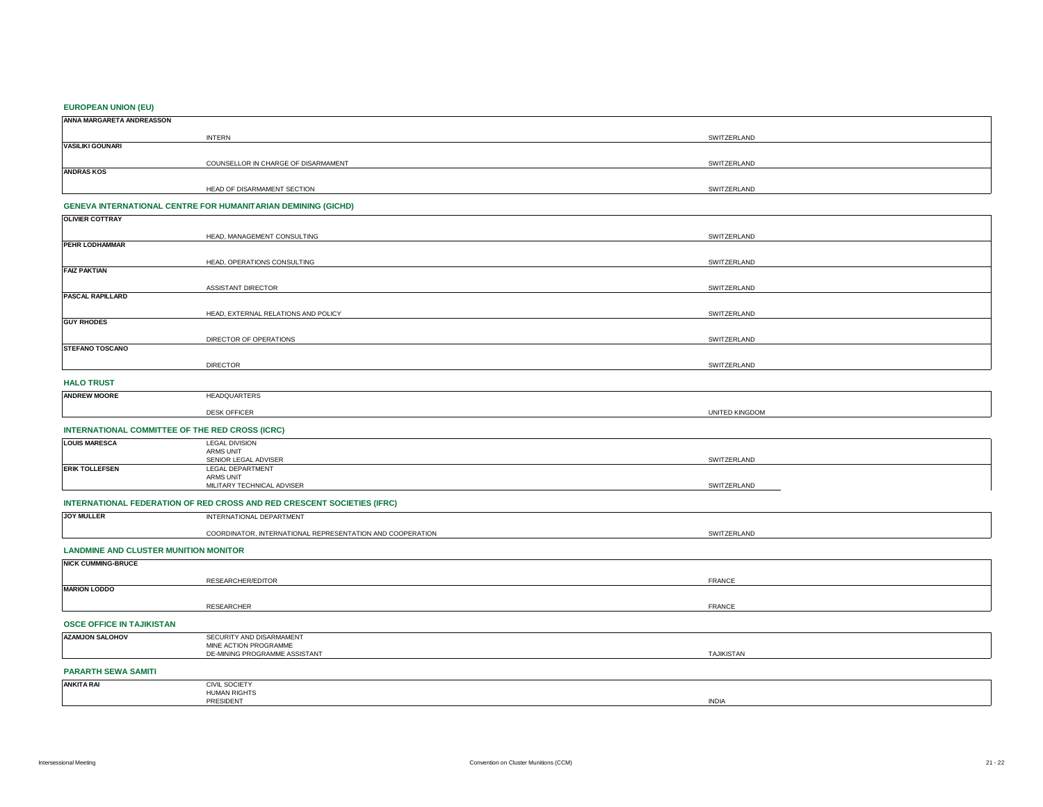#### **EUROPEAN UNION (EU)**

| ANNA MARGARETA ANDREASSON |                                     |             |  |
|---------------------------|-------------------------------------|-------------|--|
|                           | <b>INTERN</b>                       | SWITZERLAND |  |
| <b>VASILIKI GOUNARI</b>   |                                     |             |  |
|                           | COUNSELLOR IN CHARGE OF DISARMAMENT | SWITZERLAND |  |
| <b>ANDRAS KOS</b>         |                                     |             |  |
|                           | HEAD OF DISARMAMENT SECTION         | SWITZERLAND |  |

## **GENEVA INTERNATIONAL CENTRE FOR HUMANITARIAN DEMINING (GICHD)**

| <b>OLIVIER COTTRAY</b>  |                                     |             |
|-------------------------|-------------------------------------|-------------|
|                         | HEAD, MANAGEMENT CONSULTING         | SWITZERLAND |
| PEHR LODHAMMAR          |                                     |             |
|                         | HEAD, OPERATIONS CONSULTING         | SWITZERLAND |
| <b>FAIZ PAKTIAN</b>     |                                     |             |
|                         | ASSISTANT DIRECTOR                  | SWITZERLAND |
| <b>PASCAL RAPILLARD</b> |                                     |             |
|                         | HEAD, EXTERNAL RELATIONS AND POLICY | SWITZERLAND |
| <b>GUY RHODES</b>       |                                     |             |
|                         | DIRECTOR OF OPERATIONS              | SWITZERLAND |
| <b>STEFANO TOSCANO</b>  |                                     |             |
|                         | <b>DIRECTOR</b>                     | SWITZERLAND |
| <b>HALO TRUST</b>       |                                     |             |

#### HEADQUARTERS DESK OFFICER **ANDREW MOORE** UNITED KINGDOM

## **INTERNATIONAL COMMITTEE OF THE RED CROSS (ICRC)**

| <b>LOUIS MARESCA</b>  | <b>LEGAL DIVISION</b>      |             |
|-----------------------|----------------------------|-------------|
|                       | ARMS UNIT                  |             |
|                       | SENIOR LEGAL ADVISER       | SWITZERLAND |
| <b>ERIK TOLLEFSEN</b> | LEGAL DEPARTMENT           |             |
|                       | ARMS UNIT                  |             |
|                       | MILITARY TECHNICAL ADVISER | SWITZERLAND |

## **INTERNATIONAL FEDERATION OF RED CROSS AND RED CRESCENT SOCIETIES (IFRC)**

| $INV$ MH $IRE$ | PARTMENT<br>⋻⋀                                                                     |                                                                                                                                            |
|----------------|------------------------------------------------------------------------------------|--------------------------------------------------------------------------------------------------------------------------------------------|
|                | <b><i>ERATION</i></b><br><b>ATIONA</b><br><b>INTERNATI</b><br><b>DE</b><br>JINATOF | $\sim$<br>こハハレン<br>7FRI<br>the contract of the contract of the contract of the contract of the contract of the contract of the contract of |

## **LANDMINE AND CLUSTER MUNITION MONITOR**

| <b>NICK CUMMING-BRUCE</b> |                   |               |
|---------------------------|-------------------|---------------|
|                           | RESEARCHER/EDITOR | <b>FRANCE</b> |
| <b>MARION LODDO</b>       |                   |               |
|                           | RESEARCHER        | <b>FRANCE</b> |

### **OSCE OFFICE IN TAJIKISTAN**

| <b>AZAMJON SALOHOV</b>     | SECURITY AND DISARMAMENT<br>MINE ACTION PROGRAMME |                   |
|----------------------------|---------------------------------------------------|-------------------|
|                            | DE-MINING PROGRAMME ASSISTANT                     | <b>TAJIKISTAN</b> |
| <b>PARARTH SEWA SAMITI</b> |                                                   |                   |

#### CIVIL SOCIETY HUMAN RIGHTS PRESIDENT INDIA **ANKITA RAI**